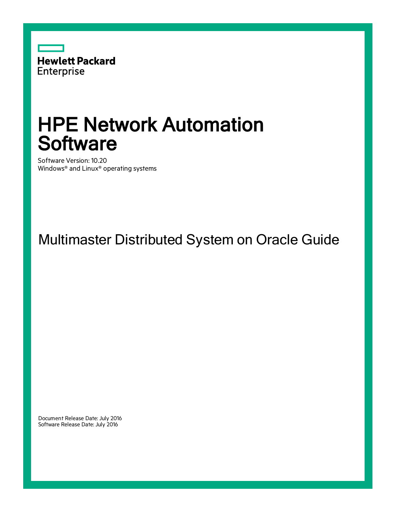

# HPE Network Automation **Software**

Software Version: 10.20 Windows® and Linux® operating systems

## Multimaster Distributed System on Oracle Guide

Document Release Date: July 2016 Software Release Date: July 2016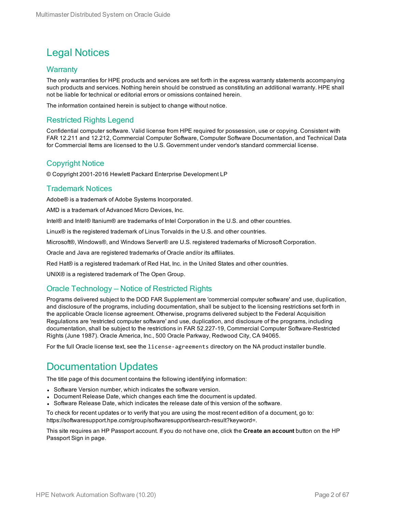#### Legal Notices

#### **Warranty**

The only warranties for HPE products and services are set forth in the express warranty statements accompanying such products and services. Nothing herein should be construed as constituting an additional warranty. HPE shall not be liable for technical or editorial errors or omissions contained herein.

The information contained herein is subject to change without notice.

#### Restricted Rights Legend

Confidential computer software. Valid license from HPE required for possession, use or copying. Consistent with FAR 12.211 and 12.212, Commercial Computer Software, Computer Software Documentation, and Technical Data for Commercial Items are licensed to the U.S. Government under vendor's standard commercial license.

#### Copyright Notice

© Copyright 2001-2016 Hewlett Packard Enterprise Development LP

#### Trademark Notices

Adobe® is a trademark of Adobe Systems Incorporated.

AMD is a trademark of Advanced Micro Devices, Inc.

Intel® and Intel® Itanium® are trademarks of Intel Corporation in the U.S. and other countries.

Linux® is the registered trademark of Linus Torvalds in the U.S. and other countries.

Microsoft®, Windows®, and Windows Server® are U.S. registered trademarks of Microsoft Corporation.

Oracle and Java are registered trademarks of Oracle and/or its affiliates.

Red Hat® is a registered trademark of Red Hat, Inc. in the United States and other countries.

UNIX® is a registered trademark of The Open Group.

#### Oracle Technology — Notice of Restricted Rights

Programs delivered subject to the DOD FAR Supplement are 'commercial computer software' and use, duplication, and disclosure of the programs, including documentation, shall be subject to the licensing restrictions set forth in the applicable Oracle license agreement. Otherwise, programs delivered subject to the Federal Acquisition Regulations are 'restricted computer software' and use, duplication, and disclosure of the programs, including documentation, shall be subject to the restrictions in FAR 52.227-19, Commercial Computer Software-Restricted Rights (June 1987). Oracle America, Inc., 500 Oracle Parkway, Redwood City, CA 94065.

For the full Oracle license text, see the license-agreements directory on the NA product installer bundle.

#### Documentation Updates

The title page of this document contains the following identifying information:

- Software Version number, which indicates the software version.
- Document Release Date, which changes each time the document is updated.
- Software Release Date, which indicates the release date of this version of the software.

To check for recent updates or to verify that you are using the most recent edition of a document, go to: https://softwaresupport.hpe.com/group/softwaresupport/search-result?keyword=.

This site requires an HP Passport account. If you do not have one, click the **Create an account** button on the HP Passport Sign in page.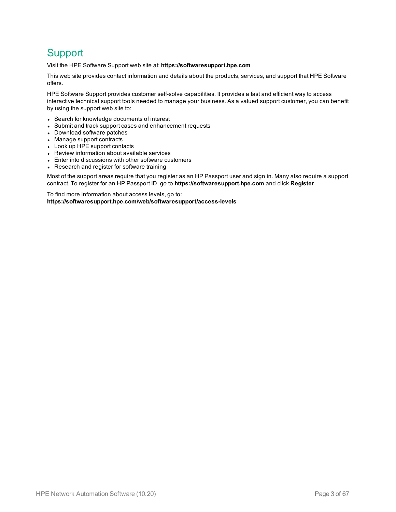#### **Support**

Visit the HPE Software Support web site at: **https://softwaresupport.hpe.com**

This web site provides contact information and details about the products, services, and support that HPE Software offers.

HPE Software Support provides customer self-solve capabilities. It provides a fast and efficient way to access interactive technical support tools needed to manage your business. As a valued support customer, you can benefit by using the support web site to:

- Search for knowledge documents of interest
- Submit and track support cases and enhancement requests
- Download software patches
- Manage support contracts
- Look up HPE support contacts
- Review information about available services
- Enter into discussions with other software customers
- Research and register for software training

Most of the support areas require that you register as an HP Passport user and sign in. Many also require a support contract. To register for an HP Passport ID, go to **https://softwaresupport.hpe.com** and click **Register**.

To find more information about access levels, go to: **https://softwaresupport.hpe.com/web/softwaresupport/access-levels**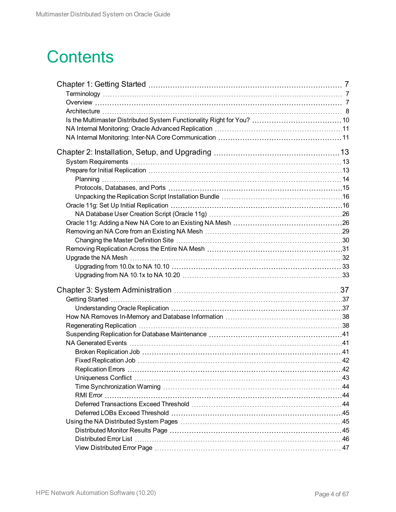# **Contents**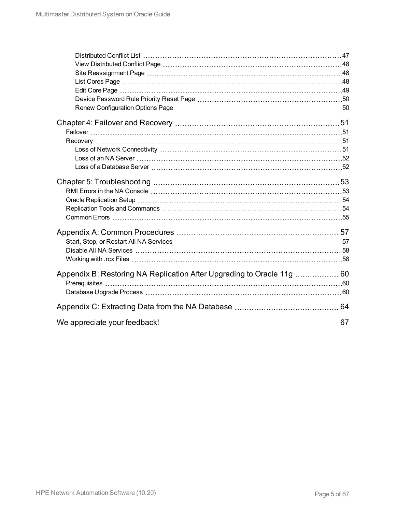| Appendix B: Restoring NA Replication After Upgrading to Oracle 11g 60 |  |
|-----------------------------------------------------------------------|--|
|                                                                       |  |
|                                                                       |  |
|                                                                       |  |
|                                                                       |  |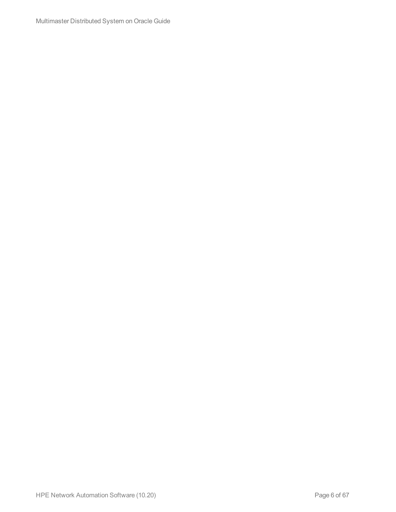Multimaster Distributed System on Oracle Guide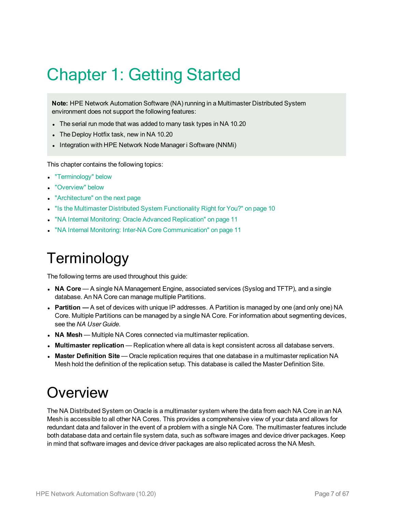# <span id="page-6-0"></span>Chapter 1: Getting Started

**Note:** HPE Network Automation Software (NA) running in a Multimaster Distributed System environment does not support the following features:

- The serial run mode that was added to many task types in NA 10.20
- The Deploy Hotfix task, new in NA 10.20
- Integration with HPE Network Node Manager i Software (NNMi)

This chapter contains the following topics:

- ["Terminology"](#page-6-1) below
- ["Overview"](#page-6-2) below
- ["Architecture"](#page-7-0) on the next page
- "Is the Multimaster Distributed System [Functionality](#page-9-0) Right for You?" on page 10
- . "NA Internal Monitoring: Oracle Advanced [Replication"](#page-10-0) on page 11
- <span id="page-6-1"></span>. "NA Internal Monitoring: Inter-NA Core [Communication"](#page-10-1) on page 11

## **Terminology**

The following terms are used throughout this guide:

- **NA Core** A single NA Management Engine, associated services (Syslog and TFTP), and a single database. An NA Core can manage multiple Partitions.
- **Partition** A set of devices with unique IP addresses. A Partition is managed by one (and only one) NA Core. Multiple Partitions can be managed by a single NA Core. For information about segmenting devices, see the *NA User Guide*.
- **NA Mesh** Multiple NA Cores connected via multimaster replication.
- <sup>l</sup> **Multimaster replication** Replication where all data is kept consistent across all database servers.
- <span id="page-6-2"></span><sup>l</sup> **Master Definition Site** — Oracle replication requires that one database in a multimaster replication NA Mesh hold the definition of the replication setup. This database is called the Master Definition Site.

## **Overview**

The NA Distributed System on Oracle is a multimaster system where the data from each NA Core in an NA Mesh is accessible to all other NA Cores. This provides a comprehensive view of your data and allows for redundant data and failover in the event of a problem with a single NA Core. The multimaster features include both database data and certain file system data, such as software images and device driver packages. Keep in mind that software images and device driver packages are also replicated across the NA Mesh.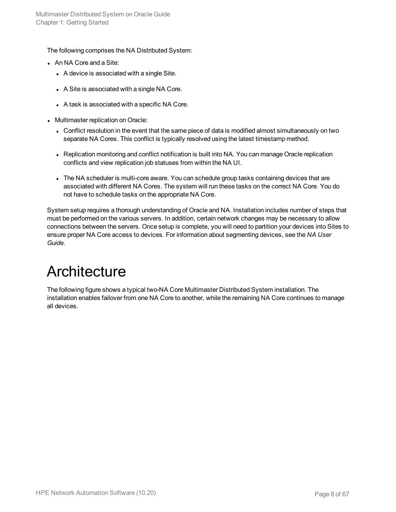The following comprises the NA Distributed System:

- An NA Core and a Site:
	- A device is associated with a single Site.
	- A Site is associated with a single NA Core.
	- $\bullet$  A task is associated with a specific NA Core.
- Multimaster replication on Oracle:
	- Conflict resolution in the event that the same piece of data is modified almost simultaneously on two separate NA Cores. This conflict is typically resolved using the latest timestamp method.
	- Replication monitoring and conflict notification is built into NA. You can manage Oracle replication conflicts and view replication job statuses from within the NA UI.
	- The NA scheduler is multi-core aware. You can schedule group tasks containing devices that are associated with different NA Cores. The system will run these tasks on the correct NA Core. You do not have to schedule tasks on the appropriate NA Core.

System setup requires a thorough understanding of Oracle and NA. Installation includes number of steps that must be performed on the various servers. In addition, certain network changes may be necessary to allow connections between the servers. Once setup is complete, you will need to partition your devices into Sites to ensure proper NA Core access to devices. For information about segmenting devices, see the *NA User Guide*.

## <span id="page-7-0"></span>**Architecture**

The following figure shows a typical two-NA Core Multimaster Distributed System installation. The installation enables failover from one NA Core to another, while the remaining NA Core continues to manage all devices.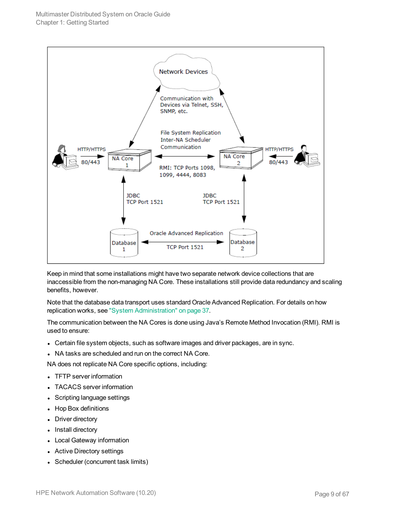

Keep in mind that some installations might have two separate network device collections that are inaccessible from the non-managing NA Core. These installations still provide data redundancy and scaling benefits, however.

Note that the database data transport uses standard Oracle Advanced Replication. For details on how replication works, see "System [Administration"](#page-36-0) on page 37.

The communication between the NA Cores is done using Java's Remote Method Invocation (RMI). RMI is used to ensure:

- Certain file system objects, such as software images and driver packages, are in sync.
- NA tasks are scheduled and run on the correct NA Core.

NA does not replicate NA Core specific options, including:

- TFTP server information
- TACACS server information
- Scripting language settings
- <sup>l</sup> Hop Box definitions
- Driver directory
- Install directory
- Local Gateway information
- Active Directory settings
- Scheduler (concurrent task limits)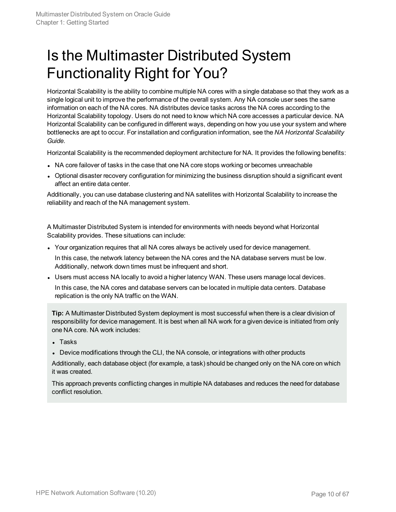## <span id="page-9-0"></span>Is the Multimaster Distributed System Functionality Right for You?

Horizontal Scalability is the ability to combine multiple NA cores with a single database so that they work as a single logical unit to improve the performance of the overall system. Any NA console user sees the same information on each of the NA cores. NA distributes device tasks across the NA cores according to the Horizontal Scalability topology. Users do not need to know which NA core accesses a particular device. NA Horizontal Scalability can be configured in different ways, depending on how you use your system and where bottlenecks are apt to occur. For installation and configuration information, see the *NA Horizontal Scalability Guide*.

Horizontal Scalability is the recommended deployment architecture for NA. It provides the following benefits:

- NA core failover of tasks in the case that one NA core stops working or becomes unreachable
- Optional disaster recovery configuration for minimizing the business disruption should a significant event affect an entire data center.

Additionally, you can use database clustering and NA satellites with Horizontal Scalability to increase the reliability and reach of the NA management system.

A Multimaster Distributed System is intended for environments with needs beyond what Horizontal Scalability provides. These situations can include:

• Your organization requires that all NA cores always be actively used for device management.

In this case, the network latency between the NA cores and the NA database servers must be low. Additionally, network down times must be infrequent and short.

• Users must access NA locally to avoid a higher latency WAN. These users manage local devices.

In this case, the NA cores and database servers can be located in multiple data centers. Database replication is the only NA traffic on the WAN.

**Tip:** A Multimaster Distributed System deployment is most successful when there is a clear division of responsibility for device management. It is best when all NA work for a given device is initiated from only one NA core. NA work includes:

- Tasks
- Device modifications through the CLI, the NA console, or integrations with other products

Additionally, each database object (for example, a task) should be changed only on the NA core on which it was created.

This approach prevents conflicting changes in multiple NA databases and reduces the need for database conflict resolution.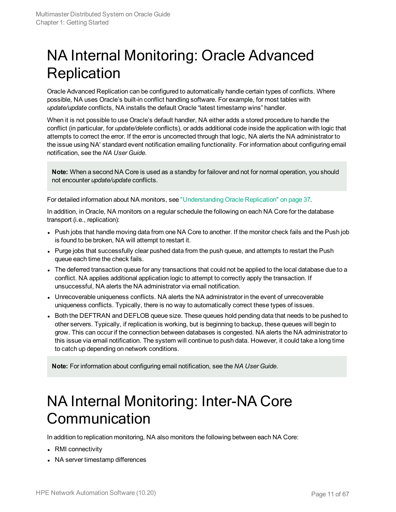## <span id="page-10-0"></span>NA Internal Monitoring: Oracle Advanced **Replication**

Oracle Advanced Replication can be configured to automatically handle certain types of conflicts. Where possible, NA uses Oracle's built-in conflict handling software. For example, for most tables with *update/update* conflicts, NA installs the default Oracle "latest timestamp wins" handler.

When it is not possible to use Oracle's default handler, NA either adds a stored procedure to handle the conflict (in particular, for *update/delete* conflicts), or adds additional code inside the application with logic that attempts to correct the error. If the error is uncorrected through that logic, NA alerts the NA administrator to the issue using NA' standard event notification emailing functionality. For information about configuring email notification, see the *NA User Guide*.

**Note:** When a second NA Core is used as a standby for failover and not for normal operation, you should not encounter *update/update* conflicts.

For detailed information about NA monitors, see ["Understanding](#page-36-2) Oracle Replication" on page 37.

In addition, in Oracle, NA monitors on a regular schedule the following on each NA Core for the database transport (i.e., replication):

- Push jobs that handle moving data from one NA Core to another. If the monitor check fails and the Push job is found to be broken, NA will attempt to restart it.
- Purge jobs that successfully clear pushed data from the push queue, and attempts to restart the Push queue each time the check fails.
- The deferred transaction queue for any transactions that could not be applied to the local database due to a conflict. NA applies additional application logic to attempt to correctly apply the transaction. If unsuccessful, NA alerts the NA administrator via email notification.
- Unrecoverable uniqueness conflicts. NA alerts the NA administrator in the event of unrecoverable uniqueness conflicts. Typically, there is no way to automatically correct these types of issues.
- Both the DEFTRAN and DEFLOB queue size. These queues hold pending data that needs to be pushed to other servers. Typically, if replication is working, but is beginning to backup, these queues will begin to grow. This can occur if the connection between databases is congested. NA alerts the NA administrator to this issue via email notification. The system will continue to push data. However, it could take a long time to catch up depending on network conditions.

<span id="page-10-1"></span>**Note:** For information about configuring email notification, see the *NA User Guide*.

## NA Internal Monitoring: Inter-NA Core **Communication**

In addition to replication monitoring, NA also monitors the following between each NA Core:

- RMI connectivity
- NA server timestamp differences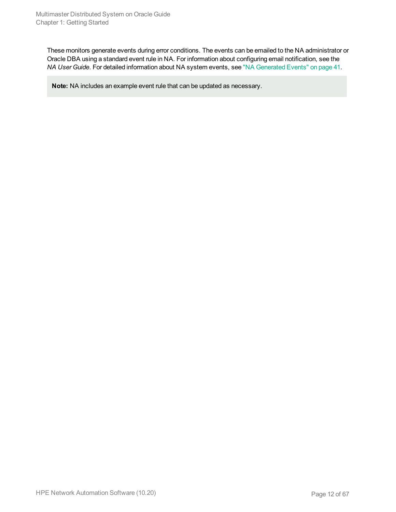These monitors generate events during error conditions. The events can be emailed to the NA administrator or Oracle DBA using a standard event rule in NA. For information about configuring email notification, see the *NA User Guide*. For detailed information about NA system events, see "NA [Generated](#page-40-1) Events" on page 41.

**Note:** NA includes an example event rule that can be updated as necessary.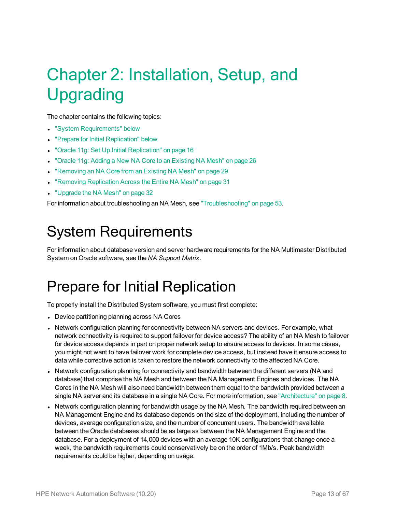# <span id="page-12-0"></span>Chapter 2: Installation, Setup, and Upgrading

The chapter contains the following topics:

- "System [Requirements"](#page-12-1) below
- "Prepare for Initial [Replication"](#page-12-2) below
- "Oracle 11g: Set Up Initial [Replication"](#page-15-1) on page 16
- "Oracle 11g: Adding a New NA Core to an [Existing](#page-25-1) NA Mesh" on page 26
- ["Removing](#page-28-0) an NA Core from an Existing NA Mesh" on page 29
- "Removing [Replication](#page-30-0) Across the Entire NA Mesh" on page 31
- ["Upgrade](#page-31-0) the NA Mesh" on page 32

<span id="page-12-1"></span>For information about troubleshooting an NA Mesh, see ["Troubleshooting"](#page-52-0) on page 53.

## System Requirements

<span id="page-12-2"></span>For information about database version and server hardware requirements for the NA Multimaster Distributed System on Oracle software, see the *NA Support Matrix*.

## Prepare for Initial Replication

To properly install the Distributed System software, you must first complete:

- Device partitioning planning across NA Cores
- Network configuration planning for connectivity between NA servers and devices. For example, what network connectivity is required to support failover for device access? The ability of an NA Mesh to failover for device access depends in part on proper network setup to ensure access to devices. In some cases, you might not want to have failover work for complete device access, but instead have it ensure access to data while corrective action is taken to restore the network connectivity to the affected NA Core.
- Network configuration planning for connectivity and bandwidth between the different servers (NA and database) that comprise the NA Mesh and between the NA Management Engines and devices. The NA Cores in the NA Mesh will also need bandwidth between them equal to the bandwidth provided between a single NA server and its database in a single NA Core. For more information, see ["Architecture"](#page-7-0) on page 8.
- Network configuration planning for bandwidth usage by the NA Mesh. The bandwidth required between an NA Management Engine and its database depends on the size of the deployment, including the number of devices, average configuration size, and the number of concurrent users. The bandwidth available between the Oracle databases should be as large as between the NA Management Engine and the database. For a deployment of 14,000 devices with an average 10K configurations that change once a week, the bandwidth requirements could conservatively be on the order of 1Mb/s. Peak bandwidth requirements could be higher, depending on usage.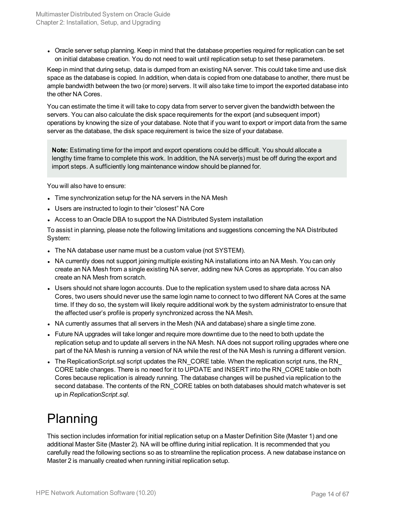• Oracle server setup planning. Keep in mind that the database properties required for replication can be set on initial database creation. You do not need to wait until replication setup to set these parameters.

Keep in mind that during setup, data is dumped from an existing NA server. This could take time and use disk space as the database is copied. In addition, when data is copied from one database to another, there must be ample bandwidth between the two (or more) servers. It will also take time to import the exported database into the other NA Cores.

You can estimate the time it will take to copy data from server to server given the bandwidth between the servers. You can also calculate the disk space requirements for the export (and subsequent import) operations by knowing the size of your database. Note that if you want to export or import data from the same server as the database, the disk space requirement is twice the size of your database.

**Note:** Estimating time for the import and export operations could be difficult. You should allocate a lengthy time frame to complete this work. In addition, the NA server(s) must be off during the export and import steps. A sufficiently long maintenance window should be planned for.

You will also have to ensure:

- Time synchronization setup for the NA servers in the NA Mesh
- Users are instructed to login to their "closest" NA Core
- Access to an Oracle DBA to support the NA Distributed System installation

To assist in planning, please note the following limitations and suggestions concerning the NA Distributed System:

- The NA database user name must be a custom value (not SYSTEM).
- NA currently does not support joining multiple existing NA installations into an NA Mesh. You can only create an NA Mesh from a single existing NA server, adding new NA Cores as appropriate. You can also create an NA Mesh from scratch.
- Users should not share logon accounts. Due to the replication system used to share data across NA Cores, two users should never use the same login name to connect to two different NA Cores at the same time. If they do so, the system will likely require additional work by the system administrator to ensure that the affected user's profile is properly synchronized across the NA Mesh.
- NA currently assumes that all servers in the Mesh (NA and database) share a single time zone.
- Future NA upgrades will take longer and require more downtime due to the need to both update the replication setup and to update all servers in the NA Mesh. NA does not support rolling upgrades where one part of the NA Mesh is running a version of NA while the rest of the NA Mesh is running a different version.
- The ReplicationScript.sql script updates the RN CORE table. When the replication script runs, the RN CORE table changes. There is no need for it to UPDATE and INSERT into the RN\_CORE table on both Cores because replication is already running. The database changes will be pushed via replication to the second database. The contents of the RN\_CORE tables on both databases should match whatever is set up in *ReplicationScript.sql*.

### <span id="page-13-0"></span>Planning

This section includes information for initial replication setup on a Master Definition Site (Master 1) and one additional Master Site (Master 2). NA will be offline during initial replication. It is recommended that you carefully read the following sections so as to streamline the replication process. A new database instance on Master 2 is manually created when running initial replication setup.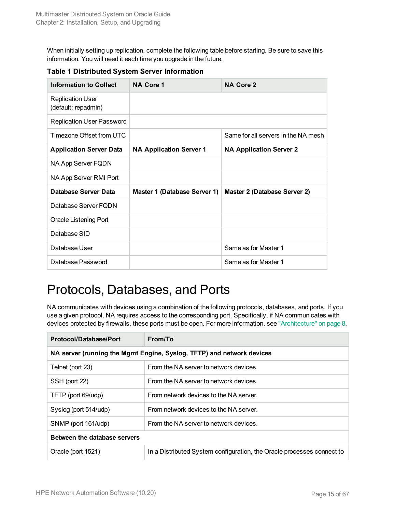When initially setting up replication, complete the following table before starting. Be sure to save this information. You will need it each time you upgrade in the future.

<span id="page-14-1"></span>

| <b>Information to Collect</b>                  | NA Core 1                      | NA Core 2                           |
|------------------------------------------------|--------------------------------|-------------------------------------|
| <b>Replication User</b><br>(default: repadmin) |                                |                                     |
| <b>Replication User Password</b>               |                                |                                     |
| Timezone Offset from UTC                       |                                | Same for all servers in the NA mesh |
| <b>Application Server Data</b>                 | <b>NA Application Server 1</b> | <b>NA Application Server 2</b>      |
| NA App Server FQDN                             |                                |                                     |
| NA App Server RMI Port                         |                                |                                     |
| Database Server Data                           | Master 1 (Database Server 1)   | Master 2 (Database Server 2)        |
| Database Server FODN                           |                                |                                     |
| Oracle Listening Port                          |                                |                                     |
| Database SID                                   |                                |                                     |
| Database User                                  |                                | Same as for Master 1                |
| Database Password                              |                                | Same as for Master 1                |

### <span id="page-14-0"></span>Protocols, Databases, and Ports

NA communicates with devices using a combination of the following protocols, databases, and ports. If you use a given protocol, NA requires access to the corresponding port. Specifically, if NA communicates with devices protected by firewalls, these ports must be open. For more information, see ["Architecture"](#page-7-0) on page 8.

| <b>Protocol/Database/Port</b>                                         | From/To                                                                |  |
|-----------------------------------------------------------------------|------------------------------------------------------------------------|--|
| NA server (running the Mgmt Engine, Syslog, TFTP) and network devices |                                                                        |  |
| Telnet (port 23)                                                      | From the NA server to network devices.                                 |  |
| SSH (port 22)                                                         | From the NA server to network devices.                                 |  |
| TFTP (port 69/udp)                                                    | From network devices to the NA server.                                 |  |
| Syslog (port 514/udp)                                                 | From network devices to the NA server.                                 |  |
| SNMP (port 161/udp)                                                   | From the NA server to network devices.                                 |  |
| Between the database servers                                          |                                                                        |  |
| Oracle (port 1521)                                                    | In a Distributed System configuration, the Oracle processes connect to |  |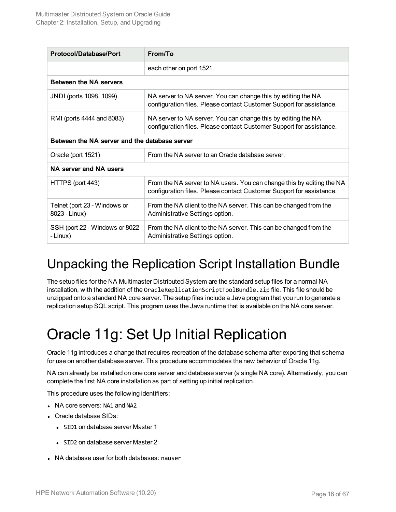| <b>Protocol/Database/Port</b>                 | From/To                                                                                                                                       |  |
|-----------------------------------------------|-----------------------------------------------------------------------------------------------------------------------------------------------|--|
|                                               | each other on port 1521.                                                                                                                      |  |
| <b>Between the NA servers</b>                 |                                                                                                                                               |  |
| JNDI (ports 1098, 1099)                       | NA server to NA server. You can change this by editing the NA<br>configuration files. Please contact Customer Support for assistance.         |  |
| RMI (ports 4444 and 8083)                     | NA server to NA server. You can change this by editing the NA<br>configuration files. Please contact Customer Support for assistance.         |  |
| Between the NA server and the database server |                                                                                                                                               |  |
| Oracle (port 1521)                            | From the NA server to an Oracle database server.                                                                                              |  |
| NA server and NA users                        |                                                                                                                                               |  |
| HTTPS (port 443)                              | From the NA server to NA users. You can change this by editing the NA<br>configuration files. Please contact Customer Support for assistance. |  |
| Telnet (port 23 - Windows or<br>8023 - Linux) | From the NA client to the NA server. This can be changed from the<br>Administrative Settings option.                                          |  |
| SSH (port 22 - Windows or 8022<br>- Linux)    | From the NA client to the NA server. This can be changed from the<br>Administrative Settings option.                                          |  |

### <span id="page-15-0"></span>Unpacking the Replication Script Installation Bundle

The setup files for the NA Multimaster Distributed System are the standard setup files for a normal NA installation, with the addition of the OracleReplicationScriptToolBundle.zip file. This file should be unzipped onto a standard NA core server. The setup files include a Java program that you run to generate a replication setup SQL script. This program uses the Java runtime that is available on the NA core server.

## <span id="page-15-1"></span>Oracle 11g: Set Up Initial Replication

Oracle 11g introduces a change that requires recreation of the database schema after exporting that schema for use on another database server. This procedure accommodates the new behavior of Oracle 11g.

NA can already be installed on one core server and database server (a single NA core). Alternatively, you can complete the first NA core installation as part of setting up initial replication.

This procedure uses the following identifiers:

- NA core servers: NA1 and NA2
- Oracle database SIDs:
	- SID1 on database server Master 1
	- SID2 on database server Master 2
- NA database user for both databases: nauser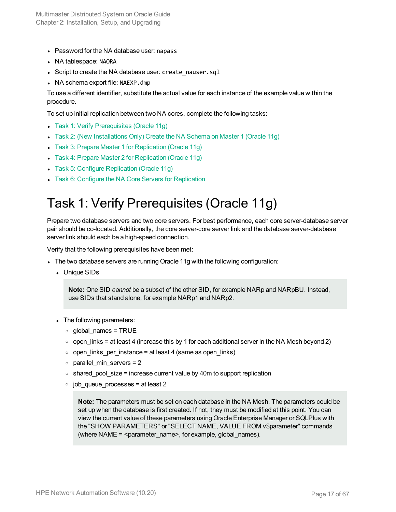- Password for the NA database user: napass
- NA tablespace: NAORA
- Script to create the NA database user: create nauser.sql
- NA schema export file: NAEXP.dmp

To use a different identifier, substitute the actual value for each instance of the example value within the procedure.

To set up initial replication between two NA cores, complete the following tasks:

- Task 1: Verify [Prerequisites](#page-16-0) (Oracle 11g)
- Task 2: (New [Installations](#page-17-0) Only) Create the NA Schema on Master 1 (Oracle 11g)
- Task 3: Prepare Master 1 for [Replication](#page-18-0) (Oracle 11g)
- Task 4: Prepare Master 2 for [Replication](#page-20-0) (Oracle 11g)
- Task 5: Configure [Replication](#page-21-0) (Oracle 11g)
- <span id="page-16-0"></span>Task 6: Configure the NA Core Servers for [Replication](#page-24-0)

### Task 1: Verify Prerequisites (Oracle 11g)

Prepare two database servers and two core servers. For best performance, each core server-database server pair should be co-located. Additionally, the core server-core server link and the database server-database server link should each be a high-speed connection.

Verify that the following prerequisites have been met:

- The two database servers are running Oracle 11g with the following configuration:
	- Unique SIDs

**Note:** One SID *cannot* be a subset of the other SID, for example NARp and NARpBU. Instead, use SIDs that stand alone, for example NARp1 and NARp2.

- The following parameters:
	- $\circ$  global\_names = TRUE
	- $\circ$  open\_links = at least 4 (increase this by 1 for each additional server in the NA Mesh beyond 2)
	- $\circ$  open\_links\_per\_instance = at least 4 (same as open\_links)
	- <sup>o</sup> parallel\_min\_servers = 2
	- $\circ$  shared\_pool\_size = increase current value by 40m to support replication
	- $\circ$  job\_queue\_processes = at least 2

**Note:** The parameters must be set on each database in the NA Mesh. The parameters could be set up when the database is first created. If not, they must be modified at this point. You can view the current value of these parameters using Oracle Enterprise Manager or SQLPlus with the "SHOW PARAMETERS" or "SELECT NAME, VALUE FROM v\$parameter" commands (where NAME =  $\epsilon$ parameter name>, for example, global names).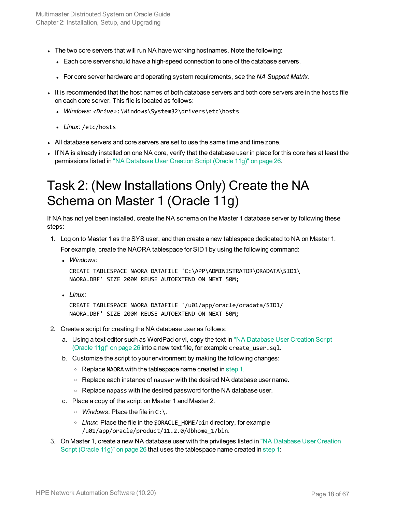- I The two core servers that will run NA have working hostnames. Note the following:
	- Each core server should have a high-speed connection to one of the database servers.
	- <sup>l</sup> For core server hardware and operating system requirements, see the *NA Support Matrix*.
- It is recommended that the host names of both database servers and both core servers are in the hosts file on each core server. This file is located as follows:
	- <sup>l</sup> *Windows*: *<Drive>*:\Windows\System32\drivers\etc\hosts
	- Linux: /etc/hosts
- <sup>l</sup> All database servers and core servers are set to use the same time and time zone.
- <span id="page-17-0"></span>If NA is already installed on one NA core, verify that the database user in place for this core has at least the permissions listed in "NA [Database](#page-25-0) User Creation Script (Oracle 11g)" on page 26.

### Task 2: (New Installations Only) Create the NA Schema on Master 1 (Oracle 11g)

If NA has not yet been installed, create the NA schema on the Master 1 database server by following these steps:

<span id="page-17-1"></span>1. Log on to Master 1 as the SYS user, and then create a new tablespace dedicated to NA on Master 1.

For example, create the NAORA tablespace for SID1 by using the following command:

<sup>l</sup> *Windows*:

```
CREATE TABLESPACE NAORA DATAFILE 'C:\APP\ADMINISTRATOR\ORADATA\SID1\
NAORA.DBF' SIZE 200M REUSE AUTOEXTEND ON NEXT 50M;
```
• Linux:

```
CREATE TABLESPACE NAORA DATAFILE '/u01/app/oracle/oradata/SID1/
NAORA.DBF' SIZE 200M REUSE AUTOEXTEND ON NEXT 50M;
```
- <span id="page-17-3"></span>2. Create a script for creating the NA database user as follows:
	- a. Using a text editor such as WordPad or vi, copy the text in "NA [Database](#page-25-0) User Creation Script [\(Oracle](#page-25-0) 11g)" on page 26 into a new text file, for example create user.sql.
	- b. Customize the script to your environment by making the following changes:
		- Replace NAORA with the tablespace name created in [step 1.](#page-17-1)
		- Replace each instance of nauser with the desired NA database user name.
		- Replace napass with the desired password for the NA database user.
	- c. Place a copy of the script on Master 1 and Master 2.
		- <sup>o</sup> *Windows*: Place the file in C:\.
		- o *Linux*: Place the file in the \$ORACLE HOME/bin directory, for example /u01/app/oracle/product/11.2.0/dbhome\_1/bin.
- <span id="page-17-2"></span>3. On Master 1, create a new NA database user with the privileges listed in "NA [Database](#page-25-0) User Creation Script [\(Oracle](#page-25-0) 11g)" on page 26 that uses the tablespace name created in [step 1:](#page-17-1)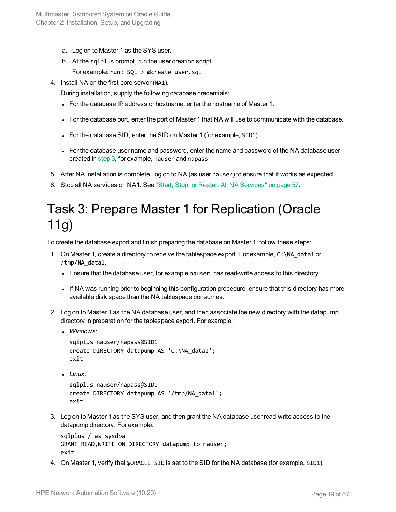- a. Log on to Master 1 as the SYS user.
- b. At the sqlplus prompt, run the user creation script.
	- For example: run: SQL > @create\_user.sql
- 4. Install NA on the first core server (NA1).

During installation, supply the following database credentials:

- For the database IP address or hostname, enter the hostname of Master 1.
- For the database port, enter the port of Master 1 that NA will use to communicate with the database.
- For the database SID, enter the SID on Master 1 (for example, SID1).
- For the database user name and password, enter the name and password of the NA database user created in [step 3,](#page-17-2) for example, nauser and napass.
- <span id="page-18-1"></span>5. After NA installation is complete, log on to NA (as user nauser) to ensure that it works as expected.
- <span id="page-18-0"></span>6. Stop all NA services on NA1. See "Start, Stop, or Restart All NA [Services"](#page-56-1) on page 57.

### Task 3: Prepare Master 1 for Replication (Oracle 11g)

To create the database export and finish preparing the database on Master 1, follow these steps:

- 1. On Master 1, create a directory to receive the tablespace export. For example, C:\NA\_data1 or /tmp/NA\_data1.
	- Ensure that the database user, for example nauser, has read-write access to this directory.
	- If NA was running prior to beginning this configuration procedure, ensure that this directory has more available disk space than the NA tablespace consumes.
- 2. Log on to Master 1 as the NA database user, and then associate the new directory with the datapump directory in preparation for the tablespace export. For example:
	- <sup>l</sup> *Windows*:

```
sqlplus nauser/napass@SID1
create DIRECTORY datapump AS 'C:\NA data1';
exit
```
• Linux:

```
sqlplus nauser/napass@SID1
create DIRECTORY datapump AS '/tmp/NA_data1';
exit
```
3. Log on to Master 1 as the SYS user, and then grant the NA database user read-write access to the datapump directory. For example:

```
sqlplus / as sysdba
GRANT READ,WRITE ON DIRECTORY datapump to nauser;
exit
```
4. On Master 1, verify that \$ORACLE SID is set to the SID for the NA database (for example, SID1).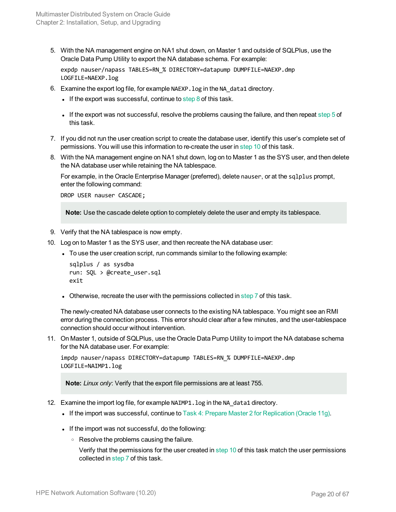<span id="page-19-1"></span>5. With the NA management engine on NA1 shut down, on Master 1 and outside of SQLPlus, use the Oracle Data Pump Utility to export the NA database schema. For example:

expdp nauser/napass TABLES=RN % DIRECTORY=datapump DUMPFILE=NAEXP.dmp LOGFILE=NAEXP.log

- 6. Examine the export log file, for example NAEXP. log in the NA data1 directory.
	- If the export was successful, continue to step  $8$  of this task.
	- If the export was not successful, resolve the problems causing the failure, and then repeat step  $5$  of this task.
- <span id="page-19-3"></span>7. If you did not run the user creation script to create the database user, identify this user's complete set of permissions. You will use this information to re-create the user in [step 10](#page-19-2) of this task.
- <span id="page-19-0"></span>8. With the NA management engine on NA1 shut down, log on to Master 1 as the SYS user, and then delete the NA database user while retaining the NA tablespace.

For example, in the Oracle Enterprise Manager (preferred), delete nauser, or at the sqlplus prompt, enter the following command:

DROP USER nauser CASCADE;

**Note:** Use the cascade delete option to completely delete the user and empty its tablespace.

- <span id="page-19-2"></span>9. Verify that the NA tablespace is now empty.
- 10. Log on to Master 1 as the SYS user, and then recreate the NA database user:
	- I To use the user creation script, run commands similar to the following example:

```
sqlplus / as sysdba
run: SQL > @create user.sql
exit
```
**.** Otherwise, recreate the user with the permissions collected in step  $7$  of this task.

The newly-created NA database user connects to the existing NA tablespace. You might see an RMI error during the connection process. This error should clear after a few minutes, and the user-tablespace connection should occur without intervention.

<span id="page-19-4"></span>11. On Master 1, outside of SQLPlus, use the Oracle Data Pump Utility to import the NA database schema for the NA database user. For example:

impdp nauser/napass DIRECTORY=datapump TABLES=RN\_% DUMPFILE=NAEXP.dmp LOGFILE=NAIMP1.log

**Note:** *Linux only*: Verify that the export file permissions are at least 755.

- 12. Examine the import log file, for example NAIMP1.log in the NA\_data1 directory.
	- If the import was successful, continue to Task 4: Prepare Master 2 for [Replication](#page-20-0) (Oracle 11g).
	- If the import was not successful, do the following:
		- $\circ$  Resolve the problems causing the failure.

Verify that the permissions for the user created in [step 10](#page-19-2) of this task match the user permissions collected in [step 7](#page-19-3) of this task.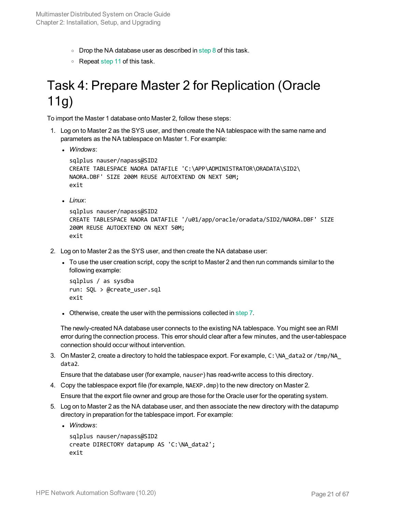- <span id="page-20-1"></span>• Drop the NA database user as described in [step 8](#page-19-0) of this task.
- Repeat [step 11](#page-19-4) of this task.

## <span id="page-20-0"></span>Task 4: Prepare Master 2 for Replication (Oracle 11g)

To import the Master 1 database onto Master 2, follow these steps:

- 1. Log on to Master 2 as the SYS user, and then create the NA tablespace with the same name and parameters as the NA tablespace on Master 1. For example:
	- <sup>l</sup> *Windows*:

```
sqlplus nauser/napass@SID2
CREATE TABLESPACE NAORA DATAFILE 'C:\APP\ADMINISTRATOR\ORADATA\SID2\
NAORA.DBF' SIZE 200M REUSE AUTOEXTEND ON NEXT 50M;
exit
```
• Linux:

```
sqlplus nauser/napass@SID2
CREATE TABLESPACE NAORA DATAFILE '/u01/app/oracle/oradata/SID2/NAORA.DBF' SIZE
200M REUSE AUTOEXTEND ON NEXT 50M;
exit
```
- 2. Log on to Master 2 as the SYS user, and then create the NA database user:
	- To use the user creation script, copy the script to Master 2 and then run commands similar to the following example:

```
sqlplus / as sysdba
run: SQL > @create user.sql
exit
```
• Otherwise, create the user with the permissions collected in [step 7.](#page-19-3)

The newly-created NA database user connects to the existing NA tablespace. You might see an RMI error during the connection process. This error should clear after a few minutes, and the user-tablespace connection should occur without intervention.

3. On Master 2, create a directory to hold the tablespace export. For example, C: \NA\_data2 or /tmp/NA data2.

Ensure that the database user (for example, nauser) has read-write access to this directory.

4. Copy the tablespace export file (for example, NAEXP.dmp) to the new directory on Master 2.

Ensure that the export file owner and group are those for the Oracle user for the operating system.

- 5. Log on to Master 2 as the NA database user, and then associate the new directory with the datapump directory in preparation for the tablespace import. For example:
	- <sup>l</sup> *Windows*:

```
sqlplus nauser/napass@SID2
create DIRECTORY datapump AS 'C:\NA_data2';
exit
```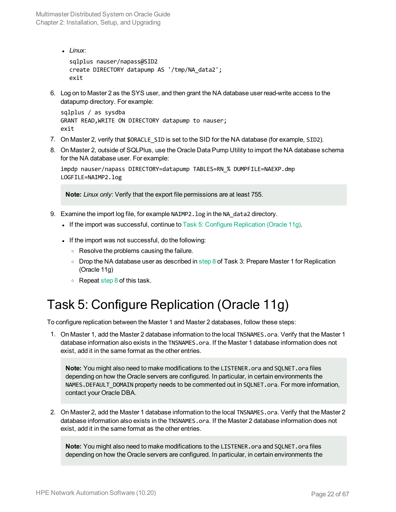• Linux:

```
sqlplus nauser/napass@SID2
create DIRECTORY datapump AS '/tmp/NA_data2';
exit
```
6. Log on to Master 2 as the SYS user, and then grant the NA database user read-write access to the datapump directory. For example:

```
sqlplus / as sysdba
GRANT READ,WRITE ON DIRECTORY datapump to nauser;
exit
```
- <span id="page-21-1"></span>7. On Master 2, verify that \$ORACLE SID is set to the SID for the NA database (for example, SID2).
- 8. On Master 2, outside of SQLPlus, use the Oracle Data Pump Utility to import the NA database schema for the NA database user. For example:

```
impdp nauser/napass DIRECTORY=datapump TABLES=RN_% DUMPFILE=NAEXP.dmp
LOGFILE=NAIMP2.log
```
**Note:** *Linux only*: Verify that the export file permissions are at least 755.

- 9. Examine the import log file, for example NAIMP2. log in the NA data2 directory.
	- If the import was successful, continue to Task 5: Configure [Replication](#page-21-0) (Oracle 11g).
	- If the import was not successful, do the following:
		- $\circ$  Resolve the problems causing the failure.
		- $\circ$  Drop the NA database user as described in [step 8](#page-19-0) of Task 3: Prepare Master 1 for Replication (Oracle 11g)
		- $\circ$  Repeat [step 8](#page-21-1) of this task.

### <span id="page-21-0"></span>Task 5: Configure Replication (Oracle 11g)

To configure replication between the Master 1 and Master 2 databases, follow these steps:

1. On Master 1, add the Master 2 database information to the local TNSNAMES.ora. Verify that the Master 1 database information also exists in the TNSNAMES.ora. If the Master 1 database information does not exist, add it in the same format as the other entries.

**Note:** You might also need to make modifications to the LISTENER, ora and SOLNET, ora files depending on how the Oracle servers are configured. In particular, in certain environments the NAMES. DEFAULT DOMAIN property needs to be commented out in SOLNET. ora. For more information, contact your Oracle DBA.

2. On Master 2, add the Master 1 database information to the local TNSNAMES.ora. Verify that the Master 2 database information also exists in the TNSNAMES, ora. If the Master 2 database information does not exist, add it in the same format as the other entries.

**Note:** You might also need to make modifications to the LISTENER.ora and SQLNET.ora files depending on how the Oracle servers are configured. In particular, in certain environments the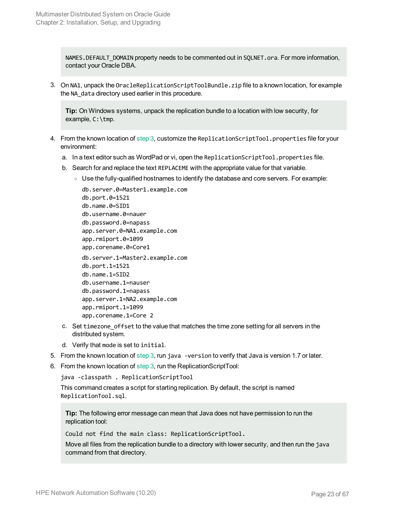NAMES. DEFAULT\_DOMAIN property needs to be commented out in SOLNET.ora. For more information, contact your Oracle DBA.

<span id="page-22-0"></span>3. On NA1, unpack the OracleReplicationScriptToolBundle.zip file to a known location, for example the NA data directory used earlier in this procedure.

**Tip:** On Windows systems, unpack the replication bundle to a location with low security, for example, C:\tmp.

- <span id="page-22-2"></span>4. From the known location of [step 3,](#page-22-0) customize the ReplicationScriptTool.properties file for your environment:
	- a. In a text editor such as WordPad or vi, open the ReplicationScriptTool.properties file.
	- b. Search for and replace the text REPLACEME with the appropriate value for that variable.
		- $\circ$  Use the fully-qualified hostnames to identify the database and core servers. For example:

db.server.0=Master1.example.com db.port.0=1521 db.name.0=SID1 db.username.0=nauer db.password.0=napass app.server.0=NA1.example.com app.rmiport.0=1099 app.corename.0=Core1 db.server.1=Master2.example.com db.port.1=1521 db.name.1=SID2 db.username.1=nauser db.password.1=napass app.server.1=NA2.example.com app.rmiport.1=1099 app.corename.1=Core 2

- c. Set timezone offset to the value that matches the time zone setting for all servers in the distributed system.
- d. Verify that mode is set to initial.
- <span id="page-22-1"></span>5. From the known location of [step 3,](#page-22-0) run java -version to verify that Java is version 1.7 or later.
- 6. From the known location of [step 3,](#page-22-0) run the ReplicationScriptTool:

java -classpath . ReplicationScriptTool

This command creates a script for starting replication. By default, the script is named ReplicationTool.sql.

**Tip:** The following error message can mean that Java does not have permission to run the replication tool:

Could not find the main class: ReplicationScriptTool.

Move all files from the replication bundle to a directory with lower security, and then run the java command from that directory.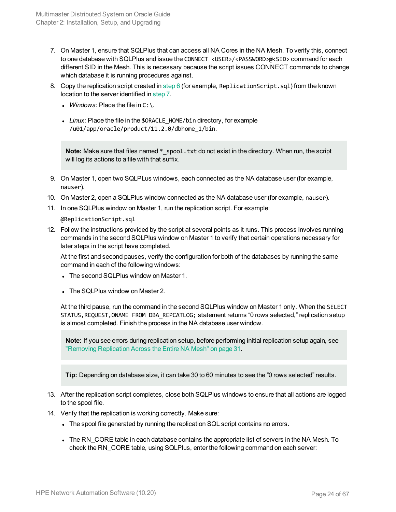- <span id="page-23-0"></span>7. On Master 1, ensure that SQLPlus that can access all NA Cores in the NA Mesh. To verify this, connect to one database with SQLPlus and issue the CONNECT <USER>/<PASSWORD>@<SID> command for each different SID in the Mesh. This is necessary because the script issues CONNECT commands to change which database it is running procedures against.
- 8. Copy the replication script created in [step 6](#page-22-1) (for example, ReplicationScript.sql) from the known location to the server identified in [step 7](#page-23-0).
	- *Windows:* Place the file in  $C:\Upsilon$ .
	- Linux: Place the file in the \$ORACLE\_HOME/bin directory, for example /u01/app/oracle/product/11.2.0/dbhome\_1/bin.

**Note:** Make sure that files named \* spool.txt do not exist in the directory. When run, the script will log its actions to a file with that suffix.

- 9. On Master 1, open two SQLPLus windows, each connected as the NA database user (for example, nauser).
- 10. On Master 2, open a SQLPlus window connected as the NA database user (for example, nauser).
- 11. In one SQLPlus window on Master 1, run the replication script. For example:

@ReplicationScript.sql

12. Follow the instructions provided by the script at several points as it runs. This process involves running commands in the second SQLPlus window on Master 1 to verify that certain operations necessary for later steps in the script have completed.

At the first and second pauses, verify the configuration for both of the databases by running the same command in each of the following windows:

- The second SQLPlus window on Master 1.
- The SQLPlus window on Master 2.

At the third pause, run the command in the second SQLPlus window on Master 1 only. When the SELECT STATUS,REQUEST,ONAME FROM DBA\_REPCATLOG; statement returns "0 rows selected," replication setup is almost completed. Finish the process in the NA database user window.

**Note:** If you see errors during replication setup, before performing initial replication setup again, see "Removing [Replication](#page-30-0) Across the Entire NA Mesh" on page 31.

**Tip:** Depending on database size, it can take 30 to 60 minutes to see the "0 rows selected" results.

- 13. After the replication script completes, close both SQLPlus windows to ensure that all actions are logged to the spool file.
- <span id="page-23-1"></span>14. Verify that the replication is working correctly. Make sure:
	- The spool file generated by running the replication SQL script contains no errors.
	- The RN\_CORE table in each database contains the appropriate list of servers in the NA Mesh. To check the RN\_CORE table, using SQLPlus, enter the following command on each server: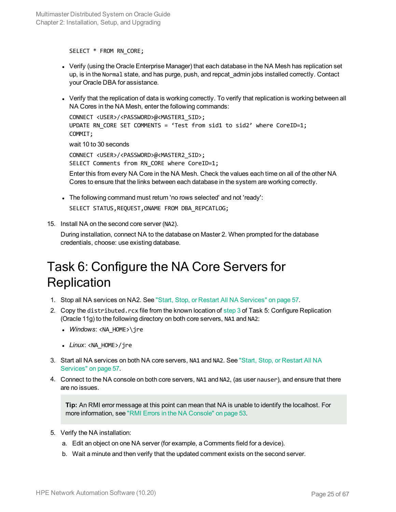SELECT \* FROM RN CORE;

- Verify (using the Oracle Enterprise Manager) that each database in the NA Mesh has replication set up, is in the Normal state, and has purge, push, and repcat\_admin jobs installed correctly. Contact your Oracle DBA for assistance.
- Verify that the replication of data is working correctly. To verify that replication is working between all NA Cores in the NA Mesh, enter the following commands:

```
CONNECT <USER>/<PASSWORD>@<MASTER1_SID>;
UPDATE RN CORE SET COMMENTS = 'Test from sid1 to sid2' where CoreID=1;
COMMIT;
wait 10 to 30 seconds
CONNECT <USER>/<PASSWORD>@<MASTER2_SID>;
SELECT Comments from RN CORE where CoreID=1;
```
Enter this from every NA Core in the NA Mesh. Check the values each time on all of the other NA Cores to ensure that the links between each database in the system are working correctly.

- . The following command must return 'no rows selected' and not 'ready': SELECT STATUS,REQUEST,ONAME FROM DBA\_REPCATLOG;
- <span id="page-24-1"></span>15. Install NA on the second core server (NA2).

During installation, connect NA to the database on Master 2. When prompted for the database credentials, choose: use existing database.

### <span id="page-24-0"></span>Task 6: Configure the NA Core Servers for **Replication**

- 1. Stop all NA services on NA2. See "Start, Stop, or Restart All NA [Services"](#page-56-1) on page 57.
- 2. Copy the distributed.rcx file from the known location of [step 3](#page-22-0) of Task 5: Configure Replication (Oracle 11g) to the following directory on both core servers, NA1 and NA2:
	- *Windows*: <NA\_HOME>\ire
	- Linux: <NA HOME>/jre
- <span id="page-24-2"></span>3. Start all NA services on both NA core servers, NA1 and NA2. See "Start, Stop, or [Restart](#page-56-1) All NA [Services"](#page-56-1) on page 57.
- <span id="page-24-3"></span>4. Connect to the NA console on both core servers, NA1 and NA2, (as user nauser), and ensure that there are no issues.

**Tip:** An RMI error message at this point can mean that NA is unable to identify the localhost. For more information, see "RMI Errors in the NA [Console"](#page-52-1) on page 53.

- 5. Verify the NA installation:
	- a. Edit an object on one NA server (for example, a Comments field for a device).
	- b. Wait a minute and then verify that the updated comment exists on the second server.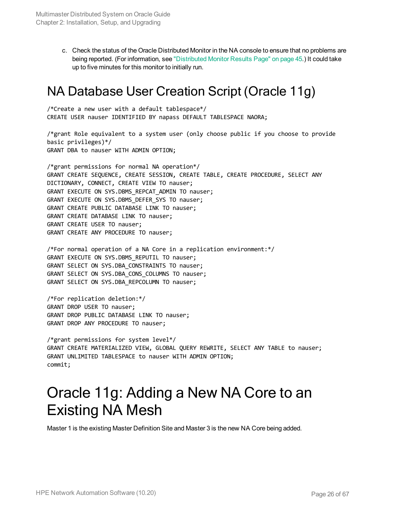c. Check the status of the Oracle Distributed Monitor in the NA console to ensure that no problems are being reported. (For information, see ["Distributed](#page-44-2) Monitor Results Page" on page 45.) It could take up to five minutes for this monitor to initially run.

#### <span id="page-25-0"></span>NA Database User Creation Script (Oracle 11g)

/\*Create a new user with a default tablespace\*/ CREATE USER nauser IDENTIFIED BY napass DEFAULT TABLESPACE NAORA;

/\*grant Role equivalent to a system user (only choose public if you choose to provide basic privileges)\*/ GRANT DBA to nauser WITH ADMIN OPTION;

/\*grant permissions for normal NA operation\*/ GRANT CREATE SEQUENCE, CREATE SESSION, CREATE TABLE, CREATE PROCEDURE, SELECT ANY DICTIONARY, CONNECT, CREATE VIEW TO nauser; GRANT EXECUTE ON SYS. DBMS REPCAT ADMIN TO nauser; GRANT EXECUTE ON SYS. DBMS DEFER SYS TO nauser; GRANT CREATE PUBLIC DATABASE LINK TO nauser; GRANT CREATE DATABASE LINK TO nauser; GRANT CREATE USER TO nauser; GRANT CREATE ANY PROCEDURE TO nauser;

/\*For normal operation of a NA Core in a replication environment:\*/ GRANT EXECUTE ON SYS.DBMS REPUTIL TO nauser; GRANT SELECT ON SYS.DBA CONSTRAINTS TO nauser; GRANT SELECT ON SYS.DBA CONS COLUMNS TO nauser; GRANT SELECT ON SYS.DBA REPCOLUMN TO nauser;

/\*For replication deletion:\*/ GRANT DROP USER TO nauser; GRANT DROP PUBLIC DATABASE LINK TO nauser; GRANT DROP ANY PROCEDURE TO nauser;

/\*grant permissions for system level\*/ GRANT CREATE MATERIALIZED VIEW, GLOBAL QUERY REWRITE, SELECT ANY TABLE to nauser; GRANT UNLIMITED TABLESPACE to nauser WITH ADMIN OPTION; commit;

## <span id="page-25-1"></span>Oracle 11g: Adding a New NA Core to an Existing NA Mesh

Master 1 is the existing Master Definition Site and Master 3 is the new NA Core being added.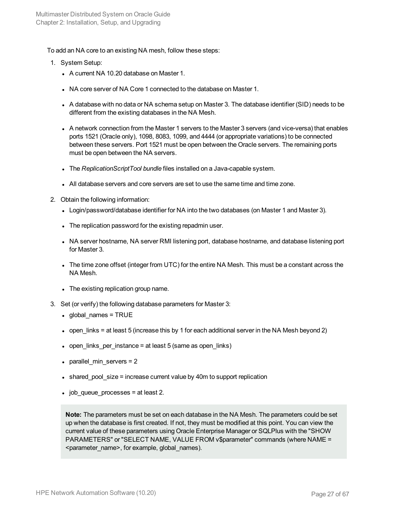To add an NA core to an existing NA mesh, follow these steps:

- 1. System Setup:
	- $\bullet$  A current NA 10.20 database on Master 1.
	- NA core server of NA Core 1 connected to the database on Master 1.
	- A database with no data or NA schema setup on Master 3. The database identifier (SID) needs to be different from the existing databases in the NA Mesh.
	- A network connection from the Master 1 servers to the Master 3 servers (and vice-versa) that enables ports 1521 (Oracle only), 1098, 8083, 1099, and 4444 (or appropriate variations) to be connected between these servers. Port 1521 must be open between the Oracle servers. The remaining ports must be open between the NA servers.
	- <sup>l</sup> The *ReplicationScriptTool bundle* files installed on a Java-capable system.
	- I All database servers and core servers are set to use the same time and time zone.
- 2. Obtain the following information:
	- Login/password/database identifier for NA into the two databases (on Master 1 and Master 3).
	- The replication password for the existing repadmin user.
	- NA server hostname, NA server RMI listening port, database hostname, and database listening port for Master 3.
	- The time zone offset (integer from UTC) for the entire NA Mesh. This must be a constant across the NA Mesh.
	- The existing replication group name.
- 3. Set (or verify) the following database parameters for Master 3:
	- $\bullet$  global\_names = TRUE
	- $\bullet$  open\_links = at least 5 (increase this by 1 for each additional server in the NA Mesh beyond 2)
	- open links per instance = at least 5 (same as open links)
	- $\bullet$  parallel min servers = 2
	- $\bullet$  shared\_pool\_size = increase current value by 40m to support replication
	- $\bullet$  job queue processes = at least 2.

**Note:** The parameters must be set on each database in the NA Mesh. The parameters could be set up when the database is first created. If not, they must be modified at this point. You can view the current value of these parameters using Oracle Enterprise Manager or SQLPlus with the "SHOW PARAMETERS" or "SELECT NAME, VALUE FROM v\$parameter" commands (where NAME = <parameter\_name>, for example, global\_names).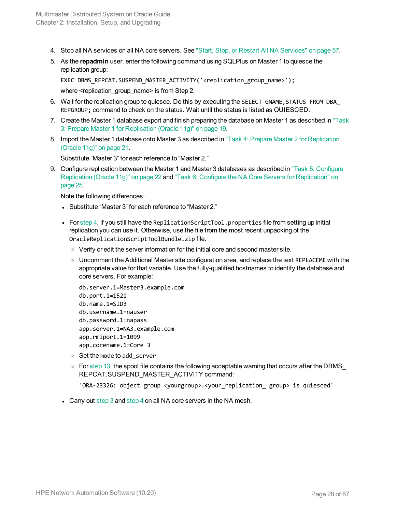- 4. Stop all NA services on all NA core servers. See "Start, Stop, or Restart All NA [Services"](#page-56-1) on page 57.
- 5. As the **repadmin** user, enter the following command using SQLPlus on Master 1 to quiesce the replication group:

EXEC DBMS REPCAT.SUSPEND MASTER ACTIVITY('<replication group name>');

where <replication\_group\_name> is from Step 2.

- 6. Wait for the replication group to quiesce. Do this by executing the SELECT GNAME, STATUS FROM DBA REPGROUP; command to check on the status. Wait until the status is listed as QUIESCED.
- 7. Create the Master 1 database export and finish preparing the database on Master 1 as described in ["Task](#page-18-1) 3: Prepare Master 1 for [Replication](#page-18-1) (Oracle 11g)" on page 19.
- 8. Import the Master 1 database onto Master 3 as described in "Task 4: Prepare Master 2 for [Replication](#page-20-1) [\(Oracle](#page-20-1) 11g)" on page 21.

Substitute "Master 3" for each reference to "Master 2."

9. Configure replication between the Master 1 and Master 3 databases as described in "Task 5: [Configure](#page-21-0) [Replication](#page-21-0) (Oracle 11g)" on page 22 and "Task 6: Configure the NA Core Servers for [Replication"](#page-24-1) on [page](#page-24-1) 25.

Note the following differences:

- Substitute "Master 3" for each reference to "Master 2."
- **For [step](#page-22-2) 4, if you still have the ReplicationScriptTool.properties file from setting up initial** replication you can use it. Otherwise, use the file from the most recent unpacking of the OracleReplicationScriptToolBundle.zip file.
	- $\circ$  Verify or edit the server information for the initial core and second master site.
	- <sup>o</sup> Uncomment the Additional Master site configuration area, and replace the text REPLACEME with the appropriate value for that variable. Use the fully-qualified hostnames to identify the database and core servers. For example:

```
db.server.1=Master3.example.com
db.port.1=1521
db.name.1=SID3
db.username.1=nauser
db.password.1=napass
app.server.1=NA3.example.com
app.rmiport.1=1099
app.corename.1=Core 3
```
- <sup>o</sup> Set the mode to add\_server.
- $\circ$  For [step](#page-23-1) 13, the spool file contains the following acceptable warning that occurs after the DBMS REPCAT.SUSPEND\_MASTER\_ACTIVITY command:

'ORA-23326: object group <yourgroup>.<your\_replication\_ group> is quiesced'

• Carry out [step](#page-24-3) 3 and step 4 on all NA core servers in the NA mesh.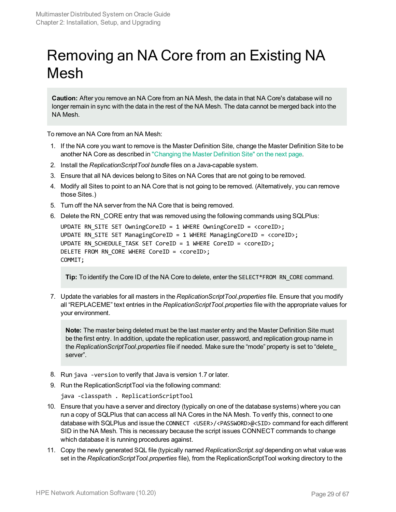## <span id="page-28-0"></span>Removing an NA Core from an Existing NA Mesh

**Caution:** After you remove an NA Core from an NA Mesh, the data in that NA Core's database will no longer remain in sync with the data in the rest of the NA Mesh. The data cannot be merged back into the NA Mesh.

To remove an NA Core from an NA Mesh:

- 1. If the NA core you want to remove is the Master Definition Site, change the Master Definition Site to be another NA Core as described in ["Changing](#page-29-0) the Master Definition Site" on the next page.
- 2. Install the *ReplicationScriptTool bundle* files on a Java-capable system.
- 3. Ensure that all NA devices belong to Sites on NA Cores that are not going to be removed.
- 4. Modify all Sites to point to an NA Core that is not going to be removed. (Alternatively, you can remove those Sites.)
- 5. Turn off the NA server from the NA Core that is being removed.
- 6. Delete the RN\_CORE entry that was removed using the following commands using SQLPlus:

```
UPDATE RN SITE SET OwningCoreID = 1 WHERE OwningCoreID = \langle coreID \rangle;
UPDATE RN SITE SET ManagingCoreID = 1 WHERE ManagingCoreID = <coreID>;
UPDATE RN SCHEDULE TASK SET CoreID = 1 WHERE CoreID = \langle coreID>;
DELETE FROM RN CORE WHERE CoreID = <coreID>;
COMMIT;
```
**Tip:** To identify the Core ID of the NA Core to delete, enter the SELECT\*FROM RN\_CORE command.

7. Update the variables for all masters in the *ReplicationScriptTool.properties* file. Ensure that you modify all "REPLACEME" text entries in the *ReplicationScriptTool.properties* file with the appropriate values for your environment.

**Note:** The master being deleted must be the last master entry and the Master Definition Site must be the first entry. In addition, update the replication user, password, and replication group name in the *ReplicationScriptTool.properties* file if needed. Make sure the "mode" property is set to "delete\_ server".

- 8. Run java -version to verify that Java is version 1.7 or later.
- 9. Run the ReplicationScriptTool via the following command:

java -classpath . ReplicationScriptTool

- 10. Ensure that you have a server and directory (typically on one of the database systems) where you can run a copy of SQLPlus that can access all NA Cores in the NA Mesh. To verify this, connect to one database with SQLPlus and issue the CONNECT <USER>/<PASSWORD>@<SID> command for each different SID in the NA Mesh. This is necessary because the script issues CONNECT commands to change which database it is running procedures against.
- 11. Copy the newly generated SQL file (typically named *ReplicationScript.sql* depending on what value was set in the *ReplicationScriptTool.properties* file), from the ReplicationScriptTool working directory to the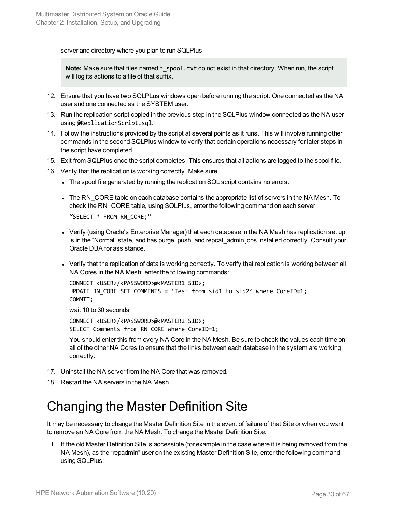server and directory where you plan to run SQLPlus.

**Note:** Make sure that files named \* spool.txt do not exist in that directory. When run, the script will log its actions to a file of that suffix.

- 12. Ensure that you have two SQLPLus windows open before running the script: One connected as the NA user and one connected as the SYSTEM user.
- 13. Run the replication script copied in the previous step in the SQLPlus window connected as the NA user using @ReplicationScript.sql.
- 14. Follow the instructions provided by the script at several points as it runs. This will involve running other commands in the second SQLPlus window to verify that certain operations necessary for later steps in the script have completed.
- 15. Exit from SQLPlus once the script completes. This ensures that all actions are logged to the spool file.
- 16. Verify that the replication is working correctly. Make sure:
	- The spool file generated by running the replication SQL script contains no errors.
	- The RN CORE table on each database contains the appropriate list of servers in the NA Mesh. To check the RN\_CORE table, using SQLPlus, enter the following command on each server: "SELECT \* FROM RN\_CORE;"
	- Verify (using Oracle's Enterprise Manager) that each database in the NA Mesh has replication set up, is in the "Normal" state, and has purge, push, and repcat\_admin jobs installed correctly. Consult your Oracle DBA for assistance.
	- Verify that the replication of data is working correctly. To verify that replication is working between all NA Cores in the NA Mesh, enter the following commands:

```
CONNECT <USER>/<PASSWORD>@<MASTER1_SID>;
UPDATE RN_CORE SET COMMENTS = 'Test from sid1 to sid2' where CoreID=1;
COMMIT;
```
wait 10 to 30 seconds

CONNECT <USER>/<PASSWORD>@<MASTER2\_SID>; SELECT Comments from RN CORE where CoreID=1;

You should enter this from every NA Core in the NA Mesh. Be sure to check the values each time on all of the other NA Cores to ensure that the links between each database in the system are working correctly.

- 17. Uninstall the NA server from the NA Core that was removed.
- <span id="page-29-0"></span>18. Restart the NA servers in the NA Mesh.

#### Changing the Master Definition Site

It may be necessary to change the Master Definition Site in the event of failure of that Site or when you want to remove an NA Core from the NA Mesh. To change the Master Definition Site:

1. If the old Master Definition Site is accessible (for example in the case where it is being removed from the NA Mesh), as the "repadmin" user on the existing Master Definition Site, enter the following command using SQLPlus: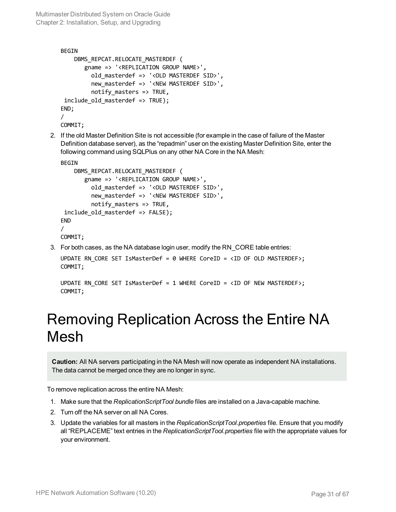```
BEGIN
        DBMS_REPCAT.RELOCATE_MASTERDEF (
              gname => '<REPLICATION GROUP NAME>',
         old masterdef => '<OLD MASTERDEF SID>',
         new masterdef => '<NEW MASTERDEF SID>',
         notify masters => TRUE,
 include_old_masterdef => TRUE);
END;
/
COMMIT;
```
2. If the old Master Definition Site is not accessible (for example in the case of failure of the Master Definition database server), as the "repadmin" user on the existing Master Definition Site, enter the following command using SQLPlus on any other NA Core in the NA Mesh:

```
BEGTN
       DBMS_REPCAT.RELOCATE_MASTERDEF (
                 gname => '<REPLICATION GROUP NAME>',
             old masterdef => '<OLD MASTERDEF SID>',
             new masterdef => '<NEW MASTERDEF SID>',
             notify masters => TRUE,
    include old masterdef => FALSE);
   END
   /
   COMMIT;
3. For both cases, as the NA database login user, modify the RN_CORE table entries:
```

```
UPDATE RN_CORE SET IsMasterDef = 0 WHERE CoreID = <ID OF OLD MASTERDEF>;
COMMIT;
```

```
UPDATE RN CORE SET IsMasterDef = 1 WHERE CoreID = \timesID OF NEW MASTERDEF>;
COMMIT;
```
## <span id="page-30-0"></span>Removing Replication Across the Entire NA Mesh

**Caution:** All NA servers participating in the NA Mesh will now operate as independent NA installations. The data cannot be merged once they are no longer in sync.

To remove replication across the entire NA Mesh:

- 1. Make sure that the *ReplicationScriptTool bundle* files are installed on a Java-capable machine.
- 2. Turn off the NA server on all NA Cores.
- 3. Update the variables for all masters in the *ReplicationScriptTool.properties* file. Ensure that you modify all "REPLACEME" text entries in the *ReplicationScriptTool.properties* file with the appropriate values for your environment.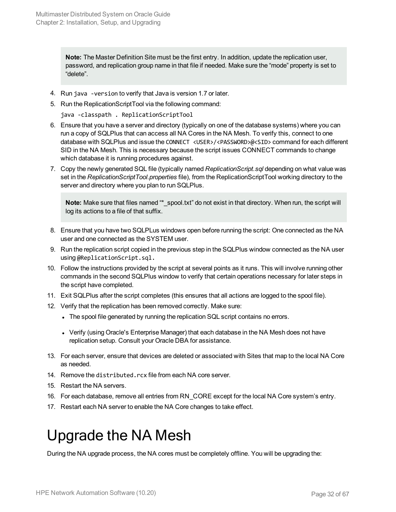**Note:** The Master Definition Site must be the first entry. In addition, update the replication user, password, and replication group name in that file if needed. Make sure the "mode" property is set to "delete".

- 4. Run java -version to verify that Java is version 1.7 or later.
- 5. Run the ReplicationScriptTool via the following command:

java -classpath . ReplicationScriptTool

- 6. Ensure that you have a server and directory (typically on one of the database systems) where you can run a copy of SQLPlus that can access all NA Cores in the NA Mesh. To verify this, connect to one database with SQLPlus and issue the CONNECT <USER>/<PASSWORD>@<SID> command for each different SID in the NA Mesh. This is necessary because the script issues CONNECT commands to change which database it is running procedures against.
- 7. Copy the newly generated SQL file (typically named *ReplicationScript.sql* depending on what value was set in the *ReplicationScriptTool.properties* file), from the ReplicationScriptTool working directory to the server and directory where you plan to run SQLPlus.

**Note:** Make sure that files named "\*\_spool.txt" do not exist in that directory. When run, the script will log its actions to a file of that suffix.

- 8. Ensure that you have two SQLPLus windows open before running the script: One connected as the NA user and one connected as the SYSTEM user.
- 9. Run the replication script copied in the previous step in the SQLPlus window connected as the NA user using @ReplicationScript.sql.
- 10. Follow the instructions provided by the script at several points as it runs. This will involve running other commands in the second SQLPlus window to verify that certain operations necessary for later steps in the script have completed.
- 11. Exit SQLPlus after the script completes (this ensures that all actions are logged to the spool file).
- 12. Verify that the replication has been removed correctly. Make sure:
	- The spool file generated by running the replication SQL script contains no errors.
	- Verify (using Oracle's Enterprise Manager) that each database in the NA Mesh does not have replication setup. Consult your Oracle DBA for assistance.
- 13. For each server, ensure that devices are deleted or associated with Sites that map to the local NA Core as needed.
- 14. Remove the distributed.rcx file from each NA core server.
- 15. Restart the NA servers.
- 16. For each database, remove all entries from RN\_CORE except for the local NA Core system's entry.
- <span id="page-31-0"></span>17. Restart each NA server to enable the NA Core changes to take effect.

## Upgrade the NA Mesh

During the NA upgrade process, the NA cores must be completely offline. You will be upgrading the: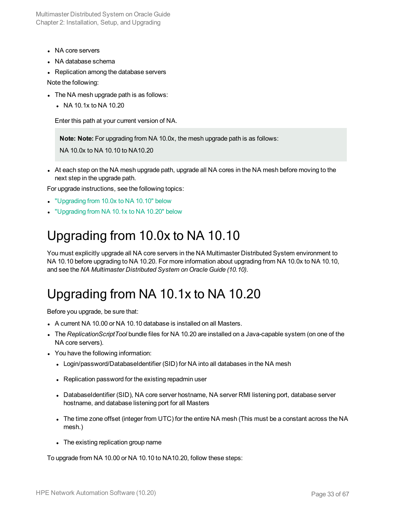Multimaster Distributed System on Oracle Guide Chapter 2: Installation, Setup, and Upgrading

- NA core servers
- NA database schema
- Replication among the database servers

Note the following:

- $\bullet$  The NA mesh upgrade path is as follows:
	- $\bullet$  NA 10.1x to NA 10.20

Enter this path at your current version of NA.

**Note: Note:** For upgrading from NA 10.0x, the mesh upgrade path is as follows:

NA 10.0x to NA 10.10 to NA10.20

• At each step on the NA mesh upgrade path, upgrade all NA cores in the NA mesh before moving to the next step in the upgrade path.

For upgrade instructions, see the following topics:

- ["Upgrading](#page-32-0) from 10.0x to NA 10.10" below
- <span id="page-32-0"></span>• ["Upgrading](#page-32-1) from NA 10.1x to NA 10.20" below

### Upgrading from 10.0x to NA 10.10

You must explicitly upgrade all NA core servers in the NA Multimaster Distributed System environment to NA 10.10 before upgrading to NA 10.20. For more information about upgrading from NA 10.0x to NA 10.10, and see the *NA Multimaster Distributed System on Oracle Guide (10.10)*.

## <span id="page-32-1"></span>Upgrading from NA 10.1x to NA 10.20

Before you upgrade, be sure that:

- A current NA 10.00 or NA 10.10 database is installed on all Masters.
- <sup>l</sup> The *ReplicationScriptTool* bundle files for NA 10.20 are installed on a Java-capable system (on one of the NA core servers).
- You have the following information:
	- Login/password/DatabaseIdentifier (SID) for NA into all databases in the NA mesh
	- Replication password for the existing repadmin user
	- DatabaseIdentifier (SID), NA core server hostname, NA server RMI listening port, database server hostname, and database listening port for all Masters
	- The time zone offset (integer from UTC) for the entire NA mesh (This must be a constant across the NA mesh.)
	- The existing replication group name

To upgrade from NA 10.00 or NA 10.10 to NA10.20, follow these steps: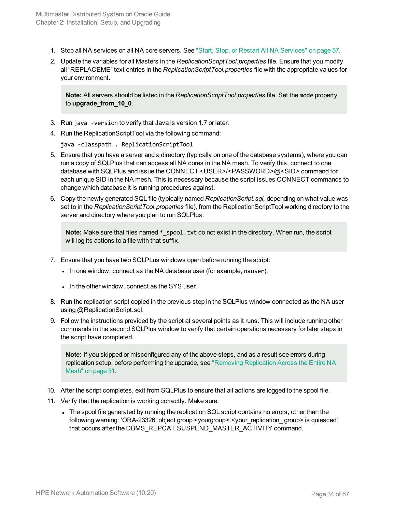- 1. Stop all NA services on all NA core servers. See "Start, Stop, or Restart All NA [Services"](#page-56-1) on page 57.
- 2. Update the variables for all Masters in the *ReplicationScriptTool.properties* file. Ensure that you modify all "REPLACEME" text entries in the *ReplicationScriptTool.properties* file with the appropriate values for your environment.

**Note:** All servers should be listed in the *ReplicationScriptTool.properties* file. Set the mode property to **upgrade\_from\_10\_0**.

- 3. Run java -version to verify that Java is version 1.7 or later.
- 4. Run the ReplicationScriptTool via the following command:

java -classpath . ReplicationScriptTool

- 5. Ensure that you have a server and a directory (typically on one of the database systems), where you can run a copy of SQLPlus that can access all NA cores in the NA mesh. To verify this, connect to one database with SQLPlus and issue the CONNECT <USER>/<PASSWORD>@<SID> command for each unique SID in the NA mesh. This is necessary because the script issues CONNECT commands to change which database it is running procedures against.
- 6. Copy the newly generated SQL file (typically named *ReplicationScript.sql,* depending on what value was set to in the *ReplicationScriptTool.properties* file), from the ReplicationScriptTool working directory to the server and directory where you plan to run SQLPlus.

Note: Make sure that files named \* spool.txt do not exist in the directory. When run, the script will log its actions to a file with that suffix.

- 7. Ensure that you have two SQLPLus windows open before running the script:
	- In one window, connect as the NA database user (for example, nauser).
	- In the other window, connect as the SYS user.
- 8. Run the replication script copied in the previous step in the SQLPlus window connected as the NA user using @ReplicationScript.sql.
- 9. Follow the instructions provided by the script at several points as it runs. This will include running other commands in the second SQLPlus window to verify that certain operations necessary for later steps in the script have completed.

**Note:** If you skipped or misconfigured any of the above steps, and as a result see errors during replication setup, before performing the upgrade, see "Removing [Replication](#page-30-0) Across the Entire NA [Mesh"](#page-30-0) on page 31.

- 10. After the script completes, exit from SQLPlus to ensure that all actions are logged to the spool file.
- 11. Verify that the replication is working correctly. Make sure:
	- The spool file generated by running the replication SQL script contains no errors, other than the following warning: 'ORA-23326: object group <yourgroup>.<your\_replication\_ group> is quiesced' that occurs after the DBMS\_REPCAT.SUSPEND\_MASTER\_ACTIVITY command.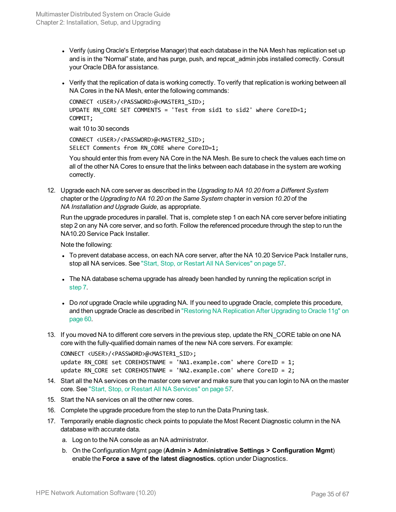- Verify (using Oracle's Enterprise Manager) that each database in the NA Mesh has replication set up and is in the "Normal" state, and has purge, push, and repcat\_admin jobs installed correctly. Consult your Oracle DBA for assistance.
- Verify that the replication of data is working correctly. To verify that replication is working between all NA Cores in the NA Mesh, enter the following commands:

CONNECT <USER>/<PASSWORD>@<MASTER1\_SID>; UPDATE RN\_CORE SET COMMENTS = 'Test from sid1 to sid2' where CoreID=1; COMMIT;

wait 10 to 30 seconds

CONNECT <USER>/<PASSWORD>@<MASTER2\_SID>; SELECT Comments from RN CORE where CoreID=1;

You should enter this from every NA Core in the NA Mesh. Be sure to check the values each time on all of the other NA Cores to ensure that the links between each database in the system are working correctly.

12. Upgrade each NA core server as described in the *Upgrading to NA 10.20 from a Different System* chapter or the *Upgrading to NA 10.20 on the Same System* chapter in version *10.20* of the *NA Installation and Upgrade Guide*, as appropriate.

Run the upgrade procedures in parallel. That is, complete step 1 on each NA core server before initiating step 2 on any NA core server, and so forth. Follow the referenced procedure through the step to run the NA10.20 Service Pack Installer.

Note the following:

- To prevent database access, on each NA core server, after the NA 10.20 Service Pack Installer runs, stop all NA services. See "Start, Stop, or Restart All NA [Services"](#page-56-1) on page 57.
- The NA database schema upgrade has already been handled by running the replication script in step 7.
- Do *not* upgrade Oracle while upgrading NA. If you need to upgrade Oracle, complete this procedure, and then upgrade Oracle as described in "Restoring NA [Replication](#page-59-0) After Upgrading to Oracle 11g" on [page](#page-59-0) 60.
- 13. If you moved NA to different core servers in the previous step, update the RN\_CORE table on one NA core with the fully-qualified domain names of the new NA core servers. For example:

```
CONNECT <USER>/<PASSWORD>@<MASTER1_SID>;
update RN CORE set COREHOSTNAME = 'NA1.example.com' where CoreID = 1;
update RN CORE set COREHOSTNAME = 'NA2.example.com' where CoreID = 2;
```
- 14. Start all the NA services on the master core server and make sure that you can login to NA on the master core. See "Start, Stop, or Restart All NA [Services"](#page-56-1) on page 57.
- 15. Start the NA services on all the other new cores.
- 16. Complete the upgrade procedure from the step to run the Data Pruning task.
- 17. Temporarily enable diagnostic check points to populate the Most Recent Diagnostic column in the NA database with accurate data.
	- a. Log on to the NA console as an NA administrator.
	- b. On the Configuration Mgmt page (**Admin > Administrative Settings > Configuration Mgmt**) enable the **Force a save of the latest diagnostics.** option under Diagnostics.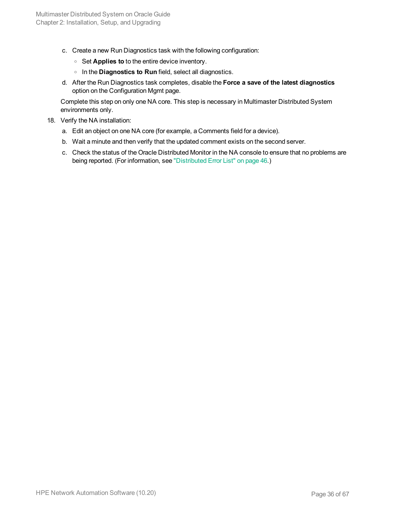- c. Create a new Run Diagnostics task with the following configuration:
	- <sup>o</sup> Set **Applies to** to the entire device inventory.
	- <sup>o</sup> In the **Diagnostics to Run** field, select all diagnostics.
- d. After the Run Diagnostics task completes, disable the **Force a save of the latest diagnostics** option on the Configuration Mgmt page.

Complete this step on only one NA core. This step is necessary in Multimaster Distributed System environments only.

- 18. Verify the NA installation:
	- a. Edit an object on one NA core (for example, a Comments field for a device).
	- b. Wait a minute and then verify that the updated comment exists on the second server.
	- c. Check the status of the Oracle Distributed Monitor in the NA console to ensure that no problems are being reported. (For information, see ["Distributed](#page-45-0) Error List" on page 46.)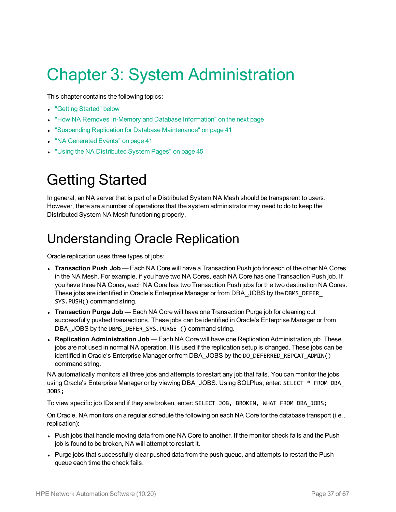# <span id="page-36-0"></span>Chapter 3: System Administration

This chapter contains the following topics:

- ["Getting](#page-36-1) Started" below
- "How NA Removes In-Memory and Database [Information"](#page-37-0) on the next page
- **.** "Suspending Replication for Database [Maintenance"](#page-40-0) on page 41
- "NA [Generated](#page-40-1) Events" on page 41
- <span id="page-36-1"></span>**.** "Using the NA [Distributed](#page-44-1) System Pages" on page 45

## Getting Started

In general, an NA server that is part of a Distributed System NA Mesh should be transparent to users. However, there are a number of operations that the system administrator may need to do to keep the Distributed System NA Mesh functioning properly.

### <span id="page-36-2"></span>Understanding Oracle Replication

Oracle replication uses three types of jobs:

- <sup>l</sup> **Transaction Push Job** Each NA Core will have a Transaction Push job for each of the other NA Cores in the NA Mesh. For example, if you have two NA Cores, each NA Core has one Transaction Push job. If you have three NA Cores, each NA Core has two Transaction Push jobs for the two destination NA Cores. These jobs are identified in Oracle's Enterprise Manager or from DBA\_JOBS by the DBMS\_DEFER\_ SYS.PUSH() command string.
- <sup>l</sup> **Transaction Purge Job** Each NA Core will have one Transaction Purge job for cleaning out successfully pushed transactions. These jobs can be identified in Oracle's Enterprise Manager or from DBA JOBS by the DBMS DEFER SYS. PURGE () command string.
- **Replication Administration Job** Each NA Core will have one Replication Administration job. These jobs are not used in normal NA operation. It is used if the replication setup is changed. These jobs can be identified in Oracle's Enterprise Manager or from DBA JOBS by the DO DEFERRED REPCAT ADMIN() command string.

NA automatically monitors all three jobs and attempts to restart any job that fails. You can monitor the jobs using Oracle's Enterprise Manager or by viewing DBA\_JOBS. Using SQLPlus, enter: SELECT \* FROM DBA JOBS;

To view specific job IDs and if they are broken, enter: SELECT JOB, BROKEN, WHAT FROM DBA\_JOBS;

On Oracle, NA monitors on a regular schedule the following on each NA Core for the database transport (i.e., replication):

- Push jobs that handle moving data from one NA Core to another. If the monitor check fails and the Push job is found to be broken, NA will attempt to restart it.
- Purge jobs that successfully clear pushed data from the push queue, and attempts to restart the Push queue each time the check fails.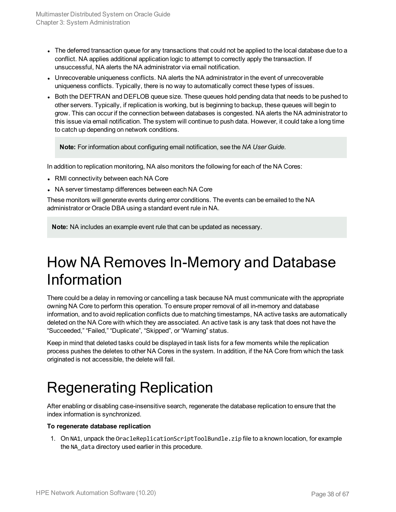- The deferred transaction queue for any transactions that could not be applied to the local database due to a conflict. NA applies additional application logic to attempt to correctly apply the transaction. If unsuccessful, NA alerts the NA administrator via email notification.
- Unrecoverable uniqueness conflicts. NA alerts the NA administrator in the event of unrecoverable uniqueness conflicts. Typically, there is no way to automatically correct these types of issues.
- Both the DEFTRAN and DEFLOB queue size. These queues hold pending data that needs to be pushed to other servers. Typically, if replication is working, but is beginning to backup, these queues will begin to grow. This can occur if the connection between databases is congested. NA alerts the NA administrator to this issue via email notification. The system will continue to push data. However, it could take a long time to catch up depending on network conditions.

**Note:** For information about configuring email notification, see the *NA User Guide*.

In addition to replication monitoring, NA also monitors the following for each of the NA Cores:

- RMI connectivity between each NA Core
- NA server timestamp differences between each NA Core

These monitors will generate events during error conditions. The events can be emailed to the NA administrator or Oracle DBA using a standard event rule in NA.

<span id="page-37-0"></span>**Note:** NA includes an example event rule that can be updated as necessary.

## How NA Removes In-Memory and Database Information

There could be a delay in removing or cancelling a task because NA must communicate with the appropriate owning NA Core to perform this operation. To ensure proper removal of all in-memory and database information, and to avoid replication conflicts due to matching timestamps, NA active tasks are automatically deleted on the NA Core with which they are associated. An active task is any task that does not have the "Succeeded," "Failed," "Duplicate", "Skipped", or "Warning" status.

Keep in mind that deleted tasks could be displayed in task lists for a few moments while the replication process pushes the deletes to other NA Cores in the system. In addition, if the NA Core from which the task originated is not accessible, the delete will fail.

## <span id="page-37-1"></span>Regenerating Replication

After enabling or disabling case-insensitive search, regenerate the database replication to ensure that the index information is synchronized.

#### **To regenerate database replication**

<span id="page-37-2"></span>1. On NA1, unpack the OracleReplicationScriptToolBundle.zip file to a known location, for example the NA\_data directory used earlier in this procedure.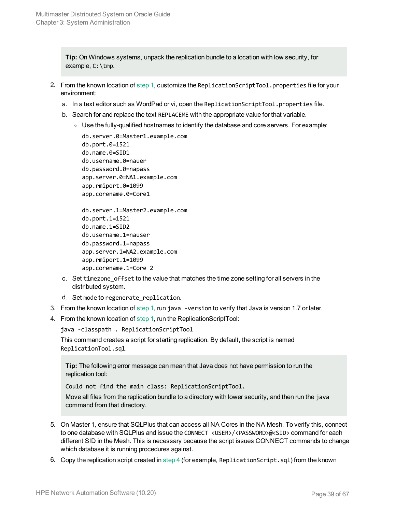**Tip:** On Windows systems, unpack the replication bundle to a location with low security, for example, C:\tmp.

- 2. From the known location of [step 1,](#page-37-2) customize the ReplicationScriptTool.properties file for your environment:
	- a. In a text editor such as WordPad or vi, open the ReplicationScriptTool.properties file.
	- b. Search for and replace the text REPLACEME with the appropriate value for that variable.
		- <sup>o</sup> Use the fully-qualified hostnames to identify the database and core servers. For example:

db.server.0=Master1.example.com db.port.0=1521 db.name.0=SID1 db.username.0=nauer db.password.0=napass app.server.0=NA1.example.com app.rmiport.0=1099 app.corename.0=Core1 db.server.1=Master2.example.com db.port.1=1521 db.name.1=SID2 db.username.1=nauser db.password.1=napass app.server.1=NA2.example.com app.rmiport.1=1099 app.corename.1=Core 2

- c. Set timezone offset to the value that matches the time zone setting for all servers in the distributed system.
- d. Set mode to regenerate replication.
- <span id="page-38-0"></span>3. From the known location of [step 1,](#page-37-2) run java -version to verify that Java is version 1.7 or later.
- 4. From the known location of [step 1,](#page-37-2) run the ReplicationScriptTool:

java -classpath . ReplicationScriptTool

This command creates a script for starting replication. By default, the script is named ReplicationTool.sql.

**Tip:** The following error message can mean that Java does not have permission to run the replication tool:

Could not find the main class: ReplicationScriptTool.

Move all files from the replication bundle to a directory with lower security, and then run the java command from that directory.

- <span id="page-38-1"></span>5. On Master 1, ensure that SQLPlus that can access all NA Cores in the NA Mesh. To verify this, connect to one database with SQLPlus and issue the CONNECT <USER>/<PASSWORD>@<SID> command for each different SID in the Mesh. This is necessary because the script issues CONNECT commands to change which database it is running procedures against.
- 6. Copy the replication script created in [step 4](#page-38-0) (for example, ReplicationScript.sql) from the known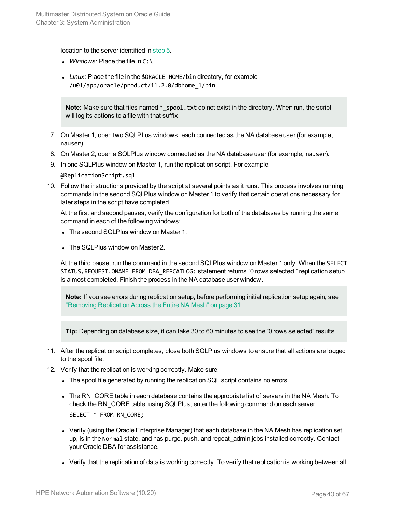location to the server identified in [step 5](#page-38-1).

- *Windows*: Place the file in  $C:\Lambda$ .
- Linux: Place the file in the \$ORACLE HOME/bin directory, for example /u01/app/oracle/product/11.2.0/dbhome\_1/bin.

**Note:** Make sure that files named  $*$  spool.txt do not exist in the directory. When run, the script will log its actions to a file with that suffix.

- 7. On Master 1, open two SQLPLus windows, each connected as the NA database user (for example, nauser).
- 8. On Master 2, open a SQLPlus window connected as the NA database user (for example, nauser).
- 9. In one SQLPlus window on Master 1, run the replication script. For example:

@ReplicationScript.sql

10. Follow the instructions provided by the script at several points as it runs. This process involves running commands in the second SQLPlus window on Master 1 to verify that certain operations necessary for later steps in the script have completed.

At the first and second pauses, verify the configuration for both of the databases by running the same command in each of the following windows:

- The second SQLPlus window on Master 1.
- The SQLPlus window on Master 2.

At the third pause, run the command in the second SQLPlus window on Master 1 only. When the SELECT STATUS,REQUEST,ONAME FROM DBA\_REPCATLOG; statement returns "0 rows selected," replication setup is almost completed. Finish the process in the NA database user window.

**Note:** If you see errors during replication setup, before performing initial replication setup again, see "Removing [Replication](#page-30-0) Across the Entire NA Mesh" on page 31.

**Tip:** Depending on database size, it can take 30 to 60 minutes to see the "0 rows selected" results.

- 11. After the replication script completes, close both SQLPlus windows to ensure that all actions are logged to the spool file.
- 12. Verify that the replication is working correctly. Make sure:
	- The spool file generated by running the replication SQL script contains no errors.
	- The RN CORE table in each database contains the appropriate list of servers in the NA Mesh. To check the RN\_CORE table, using SQLPlus, enter the following command on each server: SELECT \* FROM RN CORE;
	- Verify (using the Oracle Enterprise Manager) that each database in the NA Mesh has replication set up, is in the Normal state, and has purge, push, and repcat\_admin jobs installed correctly. Contact your Oracle DBA for assistance.
	- Verify that the replication of data is working correctly. To verify that replication is working between all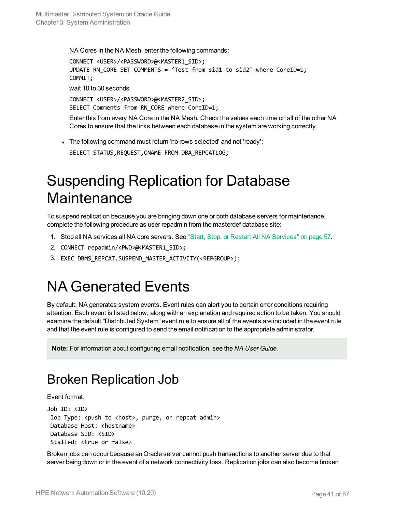NA Cores in the NA Mesh, enter the following commands:

```
CONNECT <USER>/<PASSWORD>@<MASTER1_SID>;
UPDATE RN_CORE SET COMMENTS = 'Test from sid1 to sid2' where CoreID=1;
COMMIT;
wait 10 to 30 seconds
CONNECT <USER>/<PASSWORD>@<MASTER2_SID>;
SELECT Comments from RN CORE where CoreID=1;
Enter this from every NA Core in the NA Mesh. Check the values each time on all of the other NA
Cores to ensure that the links between each database in the system are working correctly.
```
- The following command must return 'no rows selected' and not 'ready': SELECT STATUS, REQUEST, ONAME FROM DBA REPCATLOG;

## <span id="page-40-0"></span>Suspending Replication for Database **Maintenance**

To suspend replication because you are bringing down one or both database servers for maintenance, complete the following procedure as user repadmin from the masterdef database site:

- 1. Stop all NA services all NA core servers. See "Start, Stop, or Restart All NA [Services"](#page-56-1) on page 57.
- 2. CONNECT repadmin/<PWD>@<MASTER1\_SID>;
- <span id="page-40-1"></span>3. EXEC DBMS REPCAT.SUSPEND MASTER ACTIVITY(<REPGROUP>);

## NA Generated Events

By default, NA generates system events. Event rules can alert you to certain error conditions requiring attention. Each event is listed below, along with an explanation and required action to be taken. You should examine the default "Distributed System" event rule to ensure all of the events are included in the event rule and that the event rule is configured to send the email notification to the appropriate administrator.

<span id="page-40-2"></span>**Note:** For information about configuring email notification, see the *NA User Guide*.

### Broken Replication Job

Event format:

```
Job ID: <ID>
Job Type: <push to <host>, purge, or repcat admin>
Database Host: <hostname>
Database SID: <SID>
Stalled: <true or false>
```
Broken jobs can occur because an Oracle server cannot push transactions to another server due to that server being down or in the event of a network connectivity loss. Replication jobs can also become broken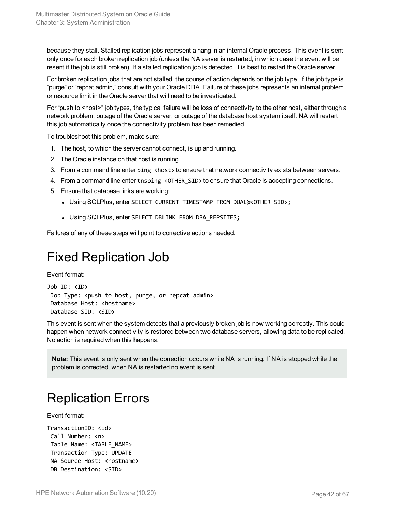because they stall. Stalled replication jobs represent a hang in an internal Oracle process. This event is sent only once for each broken replication job (unless the NA server is restarted, in which case the event will be resent if the job is still broken). If a stalled replication job is detected, it is best to restart the Oracle server.

For broken replication jobs that are not stalled, the course of action depends on the job type. If the job type is "purge" or "repcat admin," consult with your Oracle DBA. Failure of these jobs represents an internal problem or resource limit in the Oracle server that will need to be investigated.

For "push to <host>" job types, the typical failure will be loss of connectivity to the other host, either through a network problem, outage of the Oracle server, or outage of the database host system itself. NA will restart this job automatically once the connectivity problem has been remedied.

To troubleshoot this problem, make sure:

- 1. The host, to which the server cannot connect, is up and running.
- 2. The Oracle instance on that host is running.
- 3. From a command line enter ping <host> to ensure that network connectivity exists between servers.
- 4. From a command line enter tnsping <OTHER\_SID> to ensure that Oracle is accepting connections.
- 5. Ensure that database links are working:
	- Using SQLPlus, enter SELECT CURRENT TIMESTAMP FROM DUAL@<OTHER\_SID>;
	- Using SQLPlus, enter SELECT DBLINK FROM DBA\_REPSITES;

<span id="page-41-0"></span>Failures of any of these steps will point to corrective actions needed.

#### Fixed Replication Job

Event format:

```
Job ID: <ID>
Job Type: <push to host, purge, or repcat admin>
Database Host: <hostname>
Database SID: <SID>
```
This event is sent when the system detects that a previously broken job is now working correctly. This could happen when network connectivity is restored between two database servers, allowing data to be replicated. No action is required when this happens.

**Note:** This event is only sent when the correction occurs while NA is running. If NA is stopped while the problem is corrected, when NA is restarted no event is sent.

### <span id="page-41-1"></span>Replication Errors

Event format:

```
TransactionID: <id>
Call Number: <n>
Table Name: <TABLE_NAME>
Transaction Type: UPDATE
NA Source Host: <hostname>
DB Destination: <SID>
```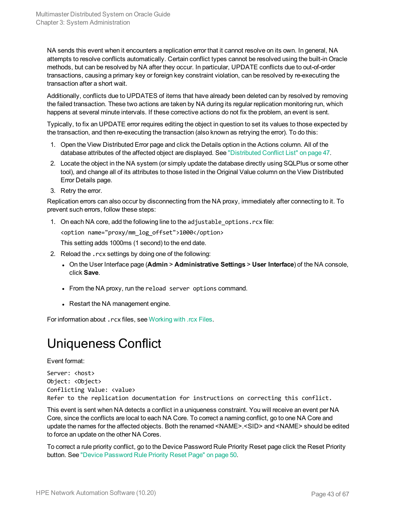NA sends this event when it encounters a replication error that it cannot resolve on its own. In general, NA attempts to resolve conflicts automatically. Certain conflict types cannot be resolved using the built-in Oracle methods, but can be resolved by NA after they occur. In particular, UPDATE conflicts due to out-of-order transactions, causing a primary key or foreign key constraint violation, can be resolved by re-executing the transaction after a short wait.

Additionally, conflicts due to UPDATES of items that have already been deleted can by resolved by removing the failed transaction. These two actions are taken by NA during its regular replication monitoring run, which happens at several minute intervals. If these corrective actions do not fix the problem, an event is sent.

Typically, to fix an UPDATE error requires editing the object in question to set its values to those expected by the transaction, and then re-executing the transaction (also known as retrying the error). To do this:

- 1. Open the View Distributed Error page and click the Details option in the Actions column. All of the database attributes of the affected object are displayed. See ["Distributed](#page-46-1) Conflict List" on page 47.
- 2. Locate the object in the NA system (or simply update the database directly using SQLPlus or some other tool), and change all of its attributes to those listed in the Original Value column on the View Distributed Error Details page.
- 3. Retry the error.

Replication errors can also occur by disconnecting from the NA proxy, immediately after connecting to it. To prevent such errors, follow these steps:

1. On each NA core, add the following line to the adjustable options.rcx file:

<option name="proxy/mm\_log\_offset">1000</option>

This setting adds 1000ms (1 second) to the end date.

- 2. Reload the .rcx settings by doing one of the following:
	- <sup>l</sup> On the User Interface page (**Admin** > **Administrative Settings** > **User Interface**) of the NA console, click **Save**.
	- From the NA proxy, run the reload server options command.
	- Restart the NA management engine.

<span id="page-42-0"></span>For information about .rcx files, see [Working](#page-57-1) with .rcx Files.

### Uniqueness Conflict

Event format:

Server: <host> Object: <Object> Conflicting Value: <value> Refer to the replication documentation for instructions on correcting this conflict.

This event is sent when NA detects a conflict in a uniqueness constraint. You will receive an event per NA Core, since the conflicts are local to each NA Core. To correct a naming conflict, go to one NA Core and update the names for the affected objects. Both the renamed <NAME>.<SID> and <NAME> should be edited to force an update on the other NA Cores.

To correct a rule priority conflict, go to the Device Password Rule Priority Reset page click the Reset Priority button. See "Device [Password](#page-49-0) Rule Priority Reset Page" on page 50.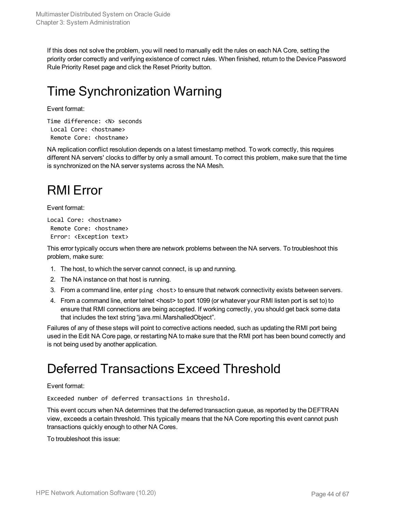If this does not solve the problem, you will need to manually edit the rules on each NA Core, setting the priority order correctly and verifying existence of correct rules. When finished, return to the Device Password Rule Priority Reset page and click the Reset Priority button.

### <span id="page-43-0"></span>Time Synchronization Warning

Event format:

```
Time difference: <N> seconds
 Local Core: <hostname>
 Remote Core: <hostname>
```
NA replication conflict resolution depends on a latest timestamp method. To work correctly, this requires different NA servers' clocks to differ by only a small amount. To correct this problem, make sure that the time is synchronized on the NA server systems across the NA Mesh.

### <span id="page-43-1"></span>RMI Error

Event format:

```
Local Core: <hostname>
Remote Core: <hostname>
Error: <Exception text>
```
This error typically occurs when there are network problems between the NA servers. To troubleshoot this problem, make sure:

- 1. The host, to which the server cannot connect, is up and running.
- 2. The NA instance on that host is running.
- 3. From a command line, enter ping <host> to ensure that network connectivity exists between servers.
- 4. From a command line, enter telnet <host> to port 1099 (or whatever your RMI listen port is set to) to ensure that RMI connections are being accepted. If working correctly, you should get back some data that includes the text string "java.rmi.MarshalledObject".

Failures of any of these steps will point to corrective actions needed, such as updating the RMI port being used in the Edit NA Core page, or restarting NA to make sure that the RMI port has been bound correctly and is not being used by another application.

### <span id="page-43-2"></span>Deferred Transactions Exceed Threshold

#### Event format:

Exceeded number of deferred transactions in threshold.

This event occurs when NA determines that the deferred transaction queue, as reported by the DEFTRAN view, exceeds a certain threshold. This typically means that the NA Core reporting this event cannot push transactions quickly enough to other NA Cores.

To troubleshoot this issue: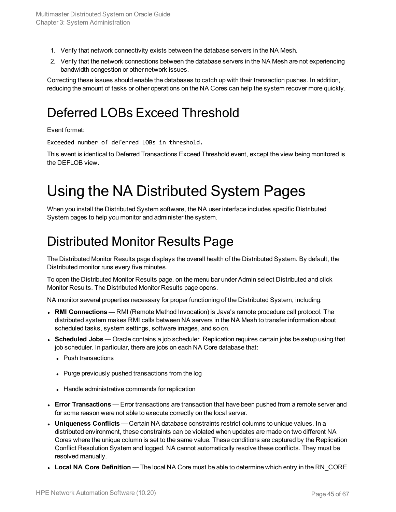- 1. Verify that network connectivity exists between the database servers in the NA Mesh.
- 2. Verify that the network connections between the database servers in the NA Mesh are not experiencing bandwidth congestion or other network issues.

<span id="page-44-0"></span>Correcting these issues should enable the databases to catch up with their transaction pushes. In addition, reducing the amount of tasks or other operations on the NA Cores can help the system recover more quickly.

#### Deferred LOBs Exceed Threshold

#### Event format:

Exceeded number of deferred LOBs in threshold.

<span id="page-44-1"></span>This event is identical to Deferred Transactions Exceed Threshold event, except the view being monitored is the DEFLOB view.

## Using the NA Distributed System Pages

<span id="page-44-2"></span>When you install the Distributed System software, the NA user interface includes specific Distributed System pages to help you monitor and administer the system.

#### Distributed Monitor Results Page

The Distributed Monitor Results page displays the overall health of the Distributed System. By default, the Distributed monitor runs every five minutes.

To open the Distributed Monitor Results page, on the menu bar under Admin select Distributed and click Monitor Results. The Distributed Monitor Results page opens.

NA monitor several properties necessary for proper functioning of the Distributed System, including:

- <sup>l</sup> **RMI Connections** RMI (Remote Method Invocation) is Java's remote procedure call protocol. The distributed system makes RMI calls between NA servers in the NA Mesh to transfer information about scheduled tasks, system settings, software images, and so on.
- <sup>l</sup> **Scheduled Jobs** Oracle contains a job scheduler. Replication requires certain jobs be setup using that job scheduler. In particular, there are jobs on each NA Core database that:
	- Push transactions
	- Purge previously pushed transactions from the log
	- Handle administrative commands for replication
- **Error Transactions** Error transactions are transaction that have been pushed from a remote server and for some reason were not able to execute correctly on the local server.
- **Uniqueness Conflicts** Certain NA database constraints restrict columns to unique values. In a distributed environment, these constraints can be violated when updates are made on two different NA Cores where the unique column is set to the same value. These conditions are captured by the Replication Conflict Resolution System and logged. NA cannot automatically resolve these conflicts. They must be resolved manually.
- **Local NA Core Definition** The local NA Core must be able to determine which entry in the RN\_CORE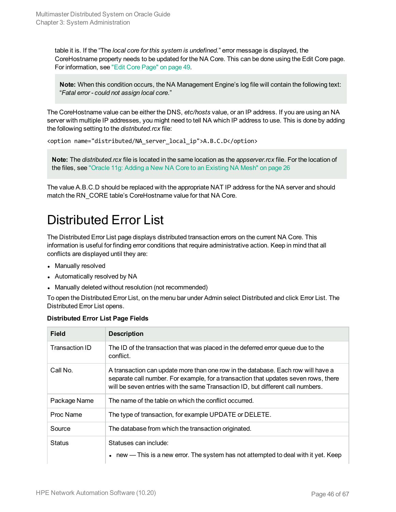table it is. If the "The *local core for this system is undefined.*" error message is displayed, the CoreHostname property needs to be updated for the NA Core. This can be done using the Edit Core page. For information, see "Edit Core [Page"](#page-48-0) on page 49.

**Note:** When this condition occurs, the NA Management Engine's log file will contain the following text: "*Fatal error - could not assign local core*."

The CoreHostname value can be either the DNS, *etc/hosts* value, or an IP address. If you are using an NA server with multiple IP addresses, you might need to tell NA which IP address to use. This is done by adding the following setting to the *distributed.rcx* file:

```
<option name="distributed/NA_server_local_ip">A.B.C.D</option>
```
**Note:** The *distributed.rcx* file is located in the same location as the *appserver.rcx* file. For the location of the files, see "Oracle 11g: Adding a New NA Core to an [Existing](#page-25-1) NA Mesh" on page 26

<span id="page-45-0"></span>The value A.B.C.D should be replaced with the appropriate NAT IP address for the NA server and should match the RN\_CORE table's CoreHostname value for that NA Core.

### Distributed Error List

The Distributed Error List page displays distributed transaction errors on the current NA Core. This information is useful for finding error conditions that require administrative action. Keep in mind that all conflicts are displayed until they are:

- Manually resolved
- Automatically resolved by NA
- Manually deleted without resolution (not recommended)

To open the Distributed Error List, on the menu bar under Admin select Distributed and click Error List. The Distributed Error List opens.

#### **Distributed Error List Page Fields**

| <b>Field</b>   | <b>Description</b>                                                                                                                                                                                                                                         |
|----------------|------------------------------------------------------------------------------------------------------------------------------------------------------------------------------------------------------------------------------------------------------------|
| Transaction ID | The ID of the transaction that was placed in the deferred error queue due to the<br>conflict.                                                                                                                                                              |
| Call No.       | A transaction can update more than one row in the database. Each row will have a<br>separate call number. For example, for a transaction that updates seven rows, there<br>will be seven entries with the same Transaction ID, but different call numbers. |
| Package Name   | The name of the table on which the conflict occurred.                                                                                                                                                                                                      |
| Proc Name      | The type of transaction, for example UPDATE or DELETE.                                                                                                                                                                                                     |
| Source         | The database from which the transaction originated.                                                                                                                                                                                                        |
| <b>Status</b>  | Statuses can include:<br>• new — This is a new error. The system has not attempted to deal with it yet. Keep                                                                                                                                               |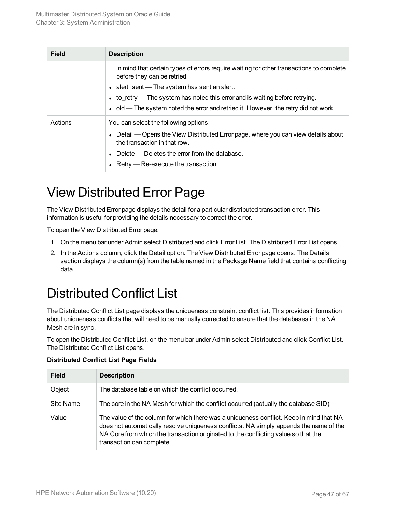| <b>Field</b> | <b>Description</b>                                                                                                     |
|--------------|------------------------------------------------------------------------------------------------------------------------|
|              | in mind that certain types of errors require waiting for other transactions to complete<br>before they can be retried. |
|              | • alert sent — The system has sent an alert.                                                                           |
|              | • to retry — The system has noted this error and is waiting before retrying.                                           |
|              | • old — The system noted the error and retried it. However, the retry did not work.                                    |
| Actions      | You can select the following options:                                                                                  |
|              | • Detail — Opens the View Distributed Error page, where you can view details about<br>the transaction in that row.     |
|              | $\bullet$ Delete — Deletes the error from the database.                                                                |
|              | $\bullet$ Retry — Re-execute the transaction.                                                                          |

### <span id="page-46-0"></span>View Distributed Error Page

The View Distributed Error page displays the detail for a particular distributed transaction error. This information is useful for providing the details necessary to correct the error.

To open the View Distributed Error page:

- 1. On the menu bar under Admin select Distributed and click Error List. The Distributed Error List opens.
- 2. In the Actions column, click the Detail option. The View Distributed Error page opens. The Details section displays the column(s) from the table named in the Package Name field that contains conflicting data.

### <span id="page-46-1"></span>Distributed Conflict List

The Distributed Conflict List page displays the uniqueness constraint conflict list. This provides information about uniqueness conflicts that will need to be manually corrected to ensure that the databases in the NA Mesh are in sync.

To open the Distributed Conflict List, on the menu bar under Admin select Distributed and click Conflict List. The Distributed Conflict List opens.

| <b>Field</b> | <b>Description</b>                                                                                                                                                                                                                                                                                   |
|--------------|------------------------------------------------------------------------------------------------------------------------------------------------------------------------------------------------------------------------------------------------------------------------------------------------------|
| Object       | The database table on which the conflict occurred.                                                                                                                                                                                                                                                   |
| Site Name    | The core in the NA Mesh for which the conflict occurred (actually the database SID).                                                                                                                                                                                                                 |
| Value        | The value of the column for which there was a uniqueness conflict. Keep in mind that NA<br>does not automatically resolve uniqueness conflicts. NA simply appends the name of the<br>NA Core from which the transaction originated to the conflicting value so that the<br>transaction can complete. |

#### **Distributed Conflict List Page Fields**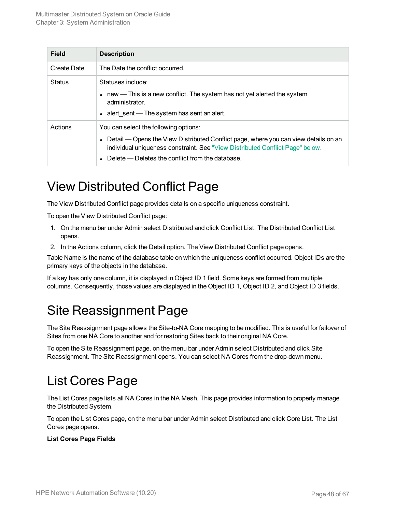| <b>Field</b>  | <b>Description</b>                                                                                                                                                                                                                                                                       |
|---------------|------------------------------------------------------------------------------------------------------------------------------------------------------------------------------------------------------------------------------------------------------------------------------------------|
| Create Date   | The Date the conflict occurred.                                                                                                                                                                                                                                                          |
| <b>Status</b> | Statuses include:<br>• new - This is a new conflict. The system has not yet alerted the system<br>administrator.<br>$\bullet$ alert sent — The system has sent an alert.                                                                                                                 |
| Actions       | You can select the following options:<br>Detail — Opens the View Distributed Conflict page, where you can view details on an<br>$\bullet$<br>individual uniqueness constraint. See "View Distributed Conflict Page" below.<br>$\bullet$ Delete — Deletes the conflict from the database. |

### <span id="page-47-0"></span>View Distributed Conflict Page

The View Distributed Conflict page provides details on a specific uniqueness constraint.

To open the View Distributed Conflict page:

- 1. On the menu bar under Admin select Distributed and click Conflict List. The Distributed Conflict List opens.
- 2. In the Actions column, click the Detail option. The View Distributed Conflict page opens.

Table Name is the name of the database table on which the uniqueness conflict occurred. Object IDs are the primary keys of the objects in the database.

<span id="page-47-1"></span>If a key has only one column, it is displayed in Object ID 1 field. Some keys are formed from multiple columns. Consequently, those values are displayed in the Object ID 1, Object ID 2, and Object ID 3 fields.

### Site Reassignment Page

The Site Reassignment page allows the Site-to-NA Core mapping to be modified. This is useful for failover of Sites from one NA Core to another and for restoring Sites back to their original NA Core.

<span id="page-47-2"></span>To open the Site Reassignment page, on the menu bar under Admin select Distributed and click Site Reassignment. The Site Reassignment opens. You can select NA Cores from the drop-down menu.

### List Cores Page

The List Cores page lists all NA Cores in the NA Mesh. This page provides information to properly manage the Distributed System.

To open the List Cores page, on the menu bar under Admin select Distributed and click Core List. The List Cores page opens.

#### **List Cores Page Fields**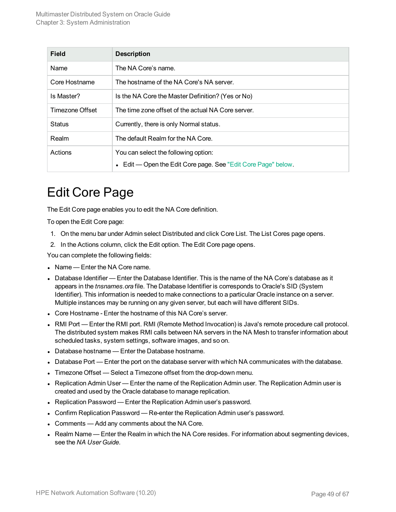| <b>Field</b>    | <b>Description</b>                                            |
|-----------------|---------------------------------------------------------------|
| Name            | The NA Core's name.                                           |
| Core Hostname   | The hostname of the NA Core's NA server.                      |
| Is Master?      | Is the NA Core the Master Definition? (Yes or No)             |
| Timezone Offset | The time zone offset of the actual NA Core server.            |
| <b>Status</b>   | Currently, there is only Normal status.                       |
| Realm           | The default Realm for the NA Core.                            |
| Actions         | You can select the following option:                          |
|                 | • Edit — Open the Edit Core page. See "Edit Core Page" below. |

### <span id="page-48-0"></span>Edit Core Page

The Edit Core page enables you to edit the NA Core definition.

To open the Edit Core page:

- 1. On the menu bar under Admin select Distributed and click Core List. The List Cores page opens.
- 2. In the Actions column, click the Edit option. The Edit Core page opens.

You can complete the following fields:

- Name Enter the NA Core name.
- Database Identifier Enter the Database Identifier. This is the name of the NA Core's database as it appears in the *tnsnames.ora* file. The Database Identifier is corresponds to Oracle's SID (System Identifier). This information is needed to make connections to a particular Oracle instance on a server. Multiple instances may be running on any given server, but each will have different SIDs.
- Core Hostname Enter the hostname of this NA Core's server.
- RMI Port Enter the RMI port. RMI (Remote Method Invocation) is Java's remote procedure call protocol. The distributed system makes RMI calls between NA servers in the NA Mesh to transfer information about scheduled tasks, system settings, software images, and so on.
- Database hostname Enter the Database hostname.
- Database Port Enter the port on the database server with which NA communicates with the database.
- Timezone Offset Select a Timezone offset from the drop-down menu.
- Replication Admin User Enter the name of the Replication Admin user. The Replication Admin user is created and used by the Oracle database to manage replication.
- Replication Password Enter the Replication Admin user's password.
- Confirm Replication Password Re-enter the Replication Admin user's password.
- Comments Add any comments about the NA Core.
- Realm Name Enter the Realm in which the NA Core resides. For information about segmenting devices, see the *NA User Guide*.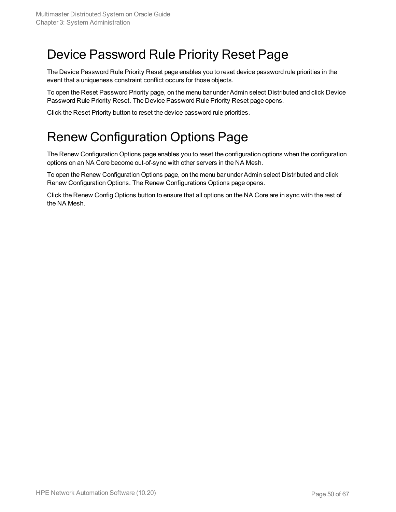### <span id="page-49-0"></span>Device Password Rule Priority Reset Page

The Device Password Rule Priority Reset page enables you to reset device password rule priorities in the event that a uniqueness constraint conflict occurs for those objects.

To open the Reset Password Priority page, on the menu bar under Admin select Distributed and click Device Password Rule Priority Reset. The Device Password Rule Priority Reset page opens.

<span id="page-49-1"></span>Click the Reset Priority button to reset the device password rule priorities.

### Renew Configuration Options Page

The Renew Configuration Options page enables you to reset the configuration options when the configuration options on an NA Core become out-of-sync with other servers in the NA Mesh.

To open the Renew Configuration Options page, on the menu bar under Admin select Distributed and click Renew Configuration Options. The Renew Configurations Options page opens.

Click the Renew Config Options button to ensure that all options on the NA Core are in sync with the rest of the NA Mesh.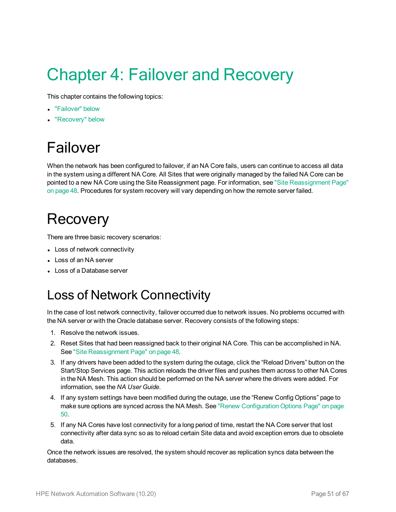# <span id="page-50-0"></span>Chapter 4: Failover and Recovery

This chapter contains the following topics:

- ["Failover"](#page-50-1) below
- <span id="page-50-1"></span>• ["Recovery"](#page-50-2) below

## Failover

When the network has been configured to failover, if an NA Core fails, users can continue to access all data in the system using a different NA Core. All Sites that were originally managed by the failed NA Core can be pointed to a new NA Core using the Site Reassignment page. For information, see "Site [Reassignment](#page-47-1) Page" on [page](#page-47-1) 48. Procedures for system recovery will vary depending on how the remote server failed.

## <span id="page-50-2"></span>**Recovery**

There are three basic recovery scenarios:

- Loss of network connectivity
- <sup>l</sup> Loss of an NA server
- <span id="page-50-3"></span>• Loss of a Database server

### Loss of Network Connectivity

In the case of lost network connectivity, failover occurred due to network issues. No problems occurred with the NA server or with the Oracle database server. Recovery consists of the following steps:

- 1. Resolve the network issues.
- 2. Reset Sites that had been reassigned back to their original NA Core. This can be accomplished in NA. See "Site [Reassignment](#page-47-1) Page" on page 48.
- 3. If any drivers have been added to the system during the outage, click the "Reload Drivers" button on the Start/Stop Services page. This action reloads the driver files and pushes them across to other NA Cores in the NA Mesh. This action should be performed on the NA server where the drivers were added. For information, see the *NA User Guide*.
- 4. If any system settings have been modified during the outage, use the "Renew Config Options" page to make sure options are synced across the NA Mesh. See "Renew [Configuration](#page-49-1) Options Page" on page [50](#page-49-1).
- 5. If any NA Cores have lost connectivity for a long period of time, restart the NA Core server that lost connectivity after data sync so as to reload certain Site data and avoid exception errors due to obsolete data.

Once the network issues are resolved, the system should recover as replication syncs data between the databases.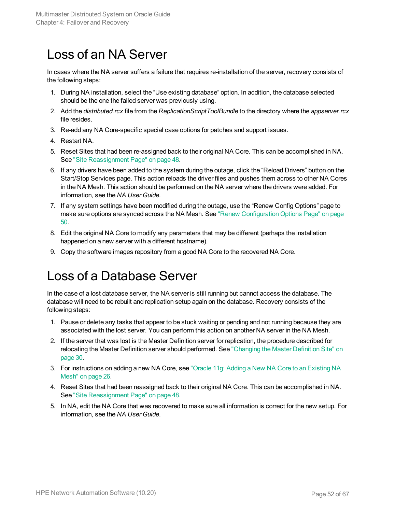### <span id="page-51-0"></span>Loss of an NA Server

In cases where the NA server suffers a failure that requires re-installation of the server, recovery consists of the following steps:

- 1. During NA installation, select the "Use existing database" option. In addition, the database selected should be the one the failed server was previously using.
- 2. Add the *distributed.rcx* file from the *ReplicationScriptToolBundle* to the directory where the *appserver.rcx* file resides.
- 3. Re-add any NA Core-specific special case options for patches and support issues.
- 4. Restart NA.
- 5. Reset Sites that had been re-assigned back to their original NA Core. This can be accomplished in NA. See "Site [Reassignment](#page-47-1) Page" on page 48.
- 6. If any drivers have been added to the system during the outage, click the "Reload Drivers" button on the Start/Stop Services page. This action reloads the driver files and pushes them across to other NA Cores in the NA Mesh. This action should be performed on the NA server where the drivers were added. For information, see the *NA User Guide*.
- 7. If any system settings have been modified during the outage, use the "Renew Config Options" page to make sure options are synced across the NA Mesh. See "Renew [Configuration](#page-49-1) Options Page" on page [50](#page-49-1).
- 8. Edit the original NA Core to modify any parameters that may be different (perhaps the installation happened on a new server with a different hostname).
- <span id="page-51-1"></span>9. Copy the software images repository from a good NA Core to the recovered NA Core.

### Loss of a Database Server

In the case of a lost database server, the NA server is still running but cannot access the database. The database will need to be rebuilt and replication setup again on the database. Recovery consists of the following steps:

- 1. Pause or delete any tasks that appear to be stuck waiting or pending and not running because they are associated with the lost server. You can perform this action on another NA server in the NA Mesh.
- 2. If the server that was lost is the Master Definition server for replication, the procedure described for relocating the Master Definition server should performed. See ["Changing](#page-29-0) the Master Definition Site" on [page](#page-29-0) 30.
- 3. For instructions on adding a new NA Core, see "Oracle 11g: Adding a New NA Core to an [Existing](#page-25-1) NA [Mesh"](#page-25-1) on page 26.
- 4. Reset Sites that had been reassigned back to their original NA Core. This can be accomplished in NA. See "Site [Reassignment](#page-47-1) Page" on page 48.
- 5. In NA, edit the NA Core that was recovered to make sure all information is correct for the new setup. For information, see the *NA User Guide*.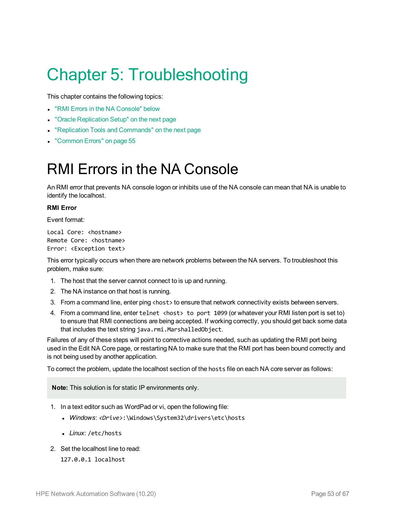# <span id="page-52-0"></span>Chapter 5: Troubleshooting

This chapter contains the following topics:

- "RMI Errors in the NA [Console"](#page-52-1) below
- "Oracle [Replication](#page-53-0) Setup" on the next page
- "Replication Tools and [Commands"](#page-53-1) on the next page
- <span id="page-52-1"></span>• ["Common](#page-54-0) Errors" on page 55

## RMI Errors in the NA Console

An RMI error that prevents NA console logon or inhibits use of the NA console can mean that NA is unable to identify the localhost.

#### **RMI Error**

Event format:

```
Local Core: <hostname>
Remote Core: <hostname>
Error: <Exception text>
```
This error typically occurs when there are network problems between the NA servers. To troubleshoot this problem, make sure:

- 1. The host that the server cannot connect to is up and running.
- 2. The NA instance on that host is running.
- 3. From a command line, enter ping <host> to ensure that network connectivity exists between servers.
- 4. From a command line, enter telnet <host> to port 1099 (or whatever your RMI listen port is set to) to ensure that RMI connections are being accepted. If working correctly, you should get back some data that includes the text string java.rmi.MarshalledObject.

Failures of any of these steps will point to corrective actions needed, such as updating the RMI port being used in the Edit NA Core page, or restarting NA to make sure that the RMI port has been bound correctly and is not being used by another application.

To correct the problem, update the localhost section of the hosts file on each NA core server as follows:

**Note:** This solution is for static IP environments only.

- 1. In a text editor such as WordPad or vi, open the following file:
	- <sup>l</sup> *Windows*: *<Drive>*:\Windows\System32\drivers\etc\hosts
	- Linux: /etc/hosts
- 2. Set the localhost line to read:
	- 127.0.0.1 localhost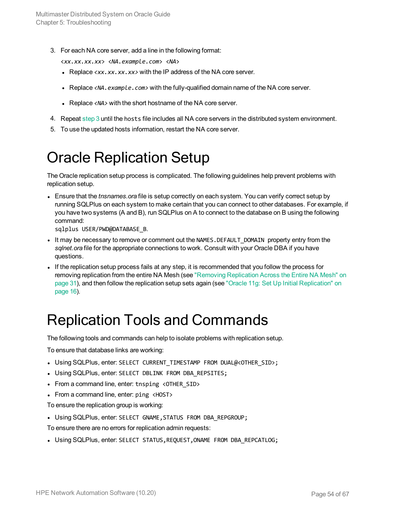<span id="page-53-2"></span>3. For each NA core server, add a line in the following format:

<*xx.xx.xx.xx*> <*NA.example.com*> <*NA*>

- Replace <xx.xx.xx.xx> with the IP address of the NA core server.
- Replace <NA.example.com> with the fully-qualified domain name of the NA core server.
- Replace <NA> with the short hostname of the NA core server.
- 4. Repeat [step 3](#page-53-2) until the hosts file includes all NA core servers in the distributed system environment.
- <span id="page-53-0"></span>5. To use the updated hosts information, restart the NA core server.

## Oracle Replication Setup

The Oracle replication setup process is complicated. The following guidelines help prevent problems with replication setup.

• Ensure that the *tnsnames.ora* file is setup correctly on each system. You can verify correct setup by running SQLPlus on each system to make certain that you can connect to other databases. For example, if you have two systems (A and B), run SQLPlus on A to connect to the database on B using the following command:

sqlplus USER/PWD@DATABASE\_B.

- It may be necessary to remove or comment out the NAMES. DEFAULT DOMAIN property entry from the *sqlnet.ora* file for the appropriate connections to work. Consult with your Oracle DBA if you have questions.
- If the replication setup process fails at any step, it is recommended that you follow the process for removing replication from the entire NA Mesh (see "Removing [Replication](#page-30-0) Across the Entire NA Mesh" on [page](#page-30-0) 31), and then follow the replication setup sets again (see "Oracle 11g: Set Up Initial [Replication"](#page-15-1) on [page](#page-15-1) 16).

## <span id="page-53-1"></span>Replication Tools and Commands

The following tools and commands can help to isolate problems with replication setup.

To ensure that database links are working:

- Using SQLPlus, enter: SELECT CURRENT TIMESTAMP FROM DUAL@<OTHER SID>;
- Using SQLPlus, enter: SELECT DBLINK FROM DBA\_REPSITES;
- From a command line, enter: tnsping <OTHER\_SID>
- From a command line, enter:  $\frac{p}{q}$  <HOST>

To ensure the replication group is working:

• Using SQLPlus, enter: SELECT GNAME, STATUS FROM DBA\_REPGROUP;

To ensure there are no errors for replication admin requests:

• Using SQLPlus, enter: SELECT STATUS, REQUEST, ONAME FROM DBA REPCATLOG;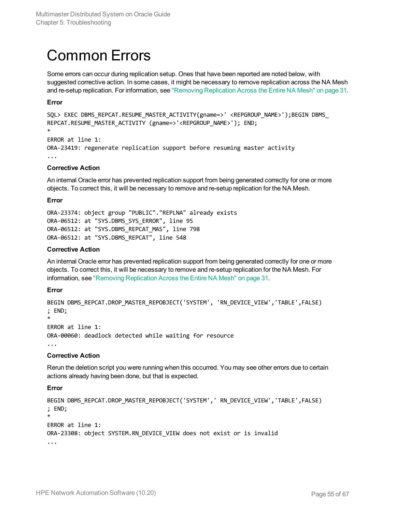## <span id="page-54-0"></span>Common Errors

Some errors can occur during replication setup. Ones that have been reported are noted below, with suggested corrective action. In some cases, it might be necessary to remove replication across the NA Mesh and re-setup replication. For information, see "Removing [Replication](#page-30-0) Across the Entire NA Mesh" on page 31.

#### **Error**

```
SQL> EXEC DBMS REPCAT.RESUME MASTER_ACTIVITY(gname=>' <REPGROUP_NAME>');BEGIN DBMS_
REPCAT.RESUME_MASTER_ACTIVITY (gname=>'<REPGROUP_NAME>'); END;
*
ERROR at line 1:
ORA-23419: regenerate replication support before resuming master activity
...
```
#### **Corrective Action**

An internal Oracle error has prevented replication support from being generated correctly for one or more objects. To correct this, it will be necessary to remove and re-setup replication for the NA Mesh.

#### **Error**

```
ORA-23374: object group "PUBLIC"."REPLNA" already exists
ORA-06512: at "SYS.DBMS_SYS_ERROR", line 95
ORA-06512: at "SYS.DBMS REPCAT MAS", line 798
ORA-06512: at "SYS.DBMS REPCAT", line 548
```
#### **Corrective Action**

An internal Oracle error has prevented replication support from being generated correctly for one or more objects. To correct this, it will be necessary to remove and re-setup replication for the NA Mesh. For information, see "Removing [Replication](#page-30-0) Across the Entire NA Mesh" on page 31.

#### **Error**

```
BEGIN DBMS_REPCAT.DROP_MASTER_REPOBJECT('SYSTEM', 'RN_DEVICE_VIEW','TABLE',FALSE)
; END;
*
ERROR at line 1:
ORA-00060: deadlock detected while waiting for resource
...
```
#### **Corrective Action**

Rerun the deletion script you were running when this occurred. You may see other errors due to certain actions already having been done, but that is expected.

#### **Error**

```
BEGIN DBMS REPCAT.DROP MASTER REPOBJECT('SYSTEM',' RN DEVICE VIEW','TABLE',FALSE)
; END;
*
ERROR at line 1:
ORA-23308: object SYSTEM.RN_DEVICE_VIEW does not exist or is invalid
...
```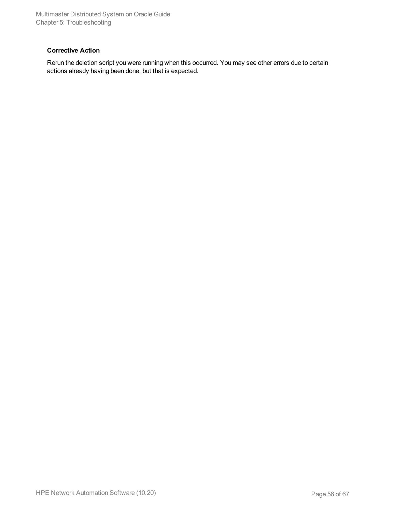#### **Corrective Action**

Rerun the deletion script you were running when this occurred. You may see other errors due to certain actions already having been done, but that is expected.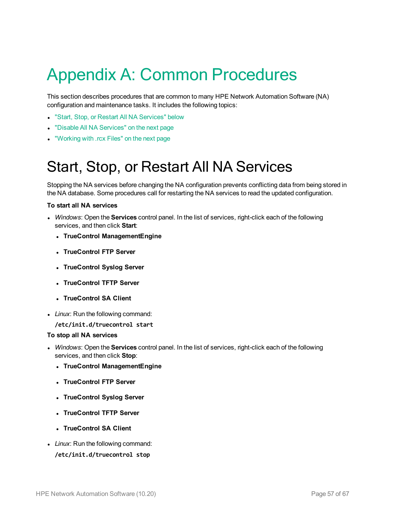# <span id="page-56-0"></span>Appendix A: Common Procedures

This section describes procedures that are common to many HPE Network Automation Software (NA) configuration and maintenance tasks. It includes the following topics:

- **.** "Start, Stop, or Restart All NA [Services"](#page-56-1) below
- <sup>l</sup> "Disable All NA [Services"](#page-57-0) on the next page
- <span id="page-56-1"></span>• ["Working](#page-57-1) with .rcx Files" on the next page

## Start, Stop, or Restart All NA Services

Stopping the NA services before changing the NA configuration prevents conflicting data from being stored in the NA database. Some procedures call for restarting the NA services to read the updated configuration.

#### **To start all NA services**

- <sup>l</sup> *Windows*: Open the **Services** control panel. In the list of services, right-click each of the following services, and then click **Start**:
	- <sup>l</sup> **TrueControl ManagementEngine**
	- <sup>l</sup> **TrueControl FTP Server**
	- <sup>l</sup> **TrueControl Syslog Server**
	- <sup>l</sup> **TrueControl TFTP Server**
	- <sup>l</sup> **TrueControl SA Client**
- *Linux*: Run the following command:

**/etc/init.d/truecontrol start**

#### **To stop all NA services**

- <sup>l</sup> *Windows*: Open the **Services** control panel. In the list of services, right-click each of the following services, and then click **Stop**:
	- <sup>l</sup> **TrueControl ManagementEngine**
	- <sup>l</sup> **TrueControl FTP Server**
	- <sup>l</sup> **TrueControl Syslog Server**
	- <sup>l</sup> **TrueControl TFTP Server**
	- <sup>l</sup> **TrueControl SA Client**
- Linux: Run the following command:

**/etc/init.d/truecontrol stop**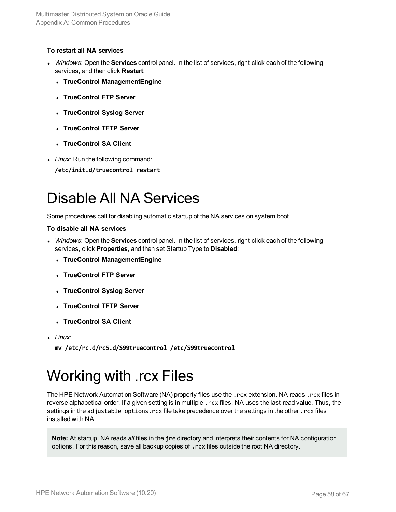#### **To restart all NA services**

- <sup>l</sup> *Windows*: Open the **Services** control panel. In the list of services, right-click each of the following services, and then click **Restart**:
	- <sup>l</sup> **TrueControl ManagementEngine**
	- <sup>l</sup> **TrueControl FTP Server**
	- <sup>l</sup> **TrueControl Syslog Server**
	- <sup>l</sup> **TrueControl TFTP Server**
	- <sup>l</sup> **TrueControl SA Client**
- <span id="page-57-0"></span>• Linux: Run the following command:
	- **/etc/init.d/truecontrol restart**

## Disable All NA Services

Some procedures call for disabling automatic startup of the NA services on system boot.

#### **To disable all NA services**

- <sup>l</sup> *Windows*: Open the **Services** control panel. In the list of services, right-click each of the following services, click **Properties**, and then set Startup Type to **Disabled**:
	- <sup>l</sup> **TrueControl ManagementEngine**
	- <sup>l</sup> **TrueControl FTP Server**
	- <sup>l</sup> **TrueControl Syslog Server**
	- <sup>l</sup> **TrueControl TFTP Server**
	- <sup>l</sup> **TrueControl SA Client**
- <sup>l</sup> *Linux*:

<span id="page-57-1"></span>**mv /etc/rc.d/rc5.d/S99truecontrol /etc/S99truecontrol**

## Working with .rcx Files

The HPE Network Automation Software (NA) property files use the .rcx extension. NA reads .rcx files in reverse alphabetical order. If a given setting is in multiple .rcx files, NA uses the last-read value. Thus, the settings in the adjustable options.rcx file take precedence over the settings in the other .rcx files installed with NA.

**Note:** At startup, NA reads *all* files in the jre directory and interprets their contents for NA configuration options. For this reason, save all backup copies of .rcx files outside the root NA directory.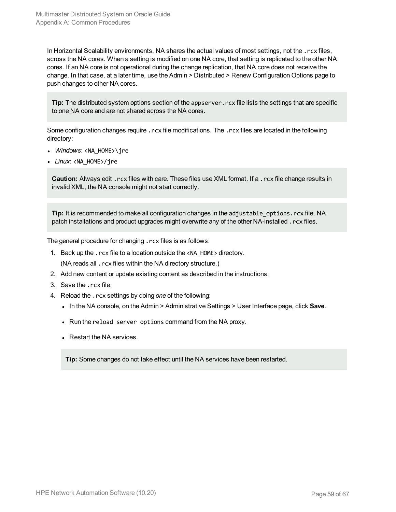In Horizontal Scalability environments, NA shares the actual values of most settings, not the .rcx files, across the NA cores. When a setting is modified on one NA core, that setting is replicated to the other NA cores. If an NA core is not operational during the change replication, that NA core does not receive the change. In that case, at a later time, use the Admin > Distributed > Renew Configuration Options page to push changes to other NA cores.

**Tip:** The distributed system options section of the appserver.rcx file lists the settings that are specific to one NA core and are not shared across the NA cores.

Some configuration changes require .rcx file modifications. The .rcx files are located in the following directory:

- *Windows*: <NA\_HOME>\ire
- *Linux*: <NA HOME>/jre

**Caution:** Always edit .rcx files with care. These files use XML format. If a .rcx file change results in invalid XML, the NA console might not start correctly.

**Tip:** It is recommended to make all configuration changes in the adjustable\_options.rcx file. NA patch installations and product upgrades might overwrite any of the other NA-installed . rcx files.

The general procedure for changing .rcx files is as follows:

- 1. Back up the .rcx file to a location outside the <NA\_HOME> directory. (NA reads all .rcx files within the NA directory structure.)
- 2. Add new content or update existing content as described in the instructions.
- 3. Save the .rcx file.
- 4. Reload the .rcx settings by doing *one* of the following:
	- <sup>l</sup> In the NA console, on the Admin > Administrative Settings > User Interface page, click **Save**.
	- Run the reload server options command from the NA proxy.
	- Restart the NA services.

**Tip:** Some changes do not take effect until the NA services have been restarted.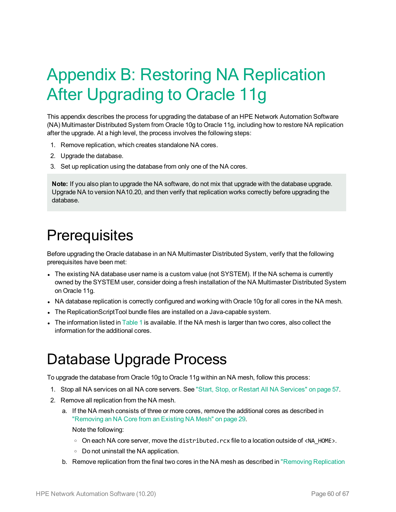# <span id="page-59-0"></span>Appendix B: Restoring NA Replication After Upgrading to Oracle 11g

This appendix describes the process for upgrading the database of an HPE Network Automation Software (NA) Multimaster Distributed System from Oracle 10g to Oracle 11g, including how to restore NA replication after the upgrade. At a high level, the process involves the following steps:

- 1. Remove replication, which creates standalone NA cores.
- 2. Upgrade the database.
- 3. Set up replication using the database from only one of the NA cores.

**Note:** If you also plan to upgrade the NA software, do not mix that upgrade with the database upgrade. Upgrade NA to version NA10.20, and then verify that replication works correctly before upgrading the database.

## <span id="page-59-1"></span>**Prerequisites**

Before upgrading the Oracle database in an NA Multimaster Distributed System, verify that the following prerequisites have been met:

- The existing NA database user name is a custom value (not SYSTEM). If the NA schema is currently owned by the SYSTEM user, consider doing a fresh installation of the NA Multimaster Distributed System on Oracle 11g.
- NA database replication is correctly configured and working with Oracle 10g for all cores in the NA mesh.
- The ReplicationScriptTool bundle files are installed on a Java-capable system.
- <span id="page-59-2"></span>The information listed in [Table](#page-14-1) 1 is available. If the NA mesh is larger than two cores, also collect the information for the additional cores.

### Database Upgrade Process

To upgrade the database from Oracle 10g to Oracle 11g within an NA mesh, follow this process:

- 1. Stop all NA services on all NA core servers. See "Start, Stop, or Restart All NA [Services"](#page-56-1) on page 57.
- 2. Remove all replication from the NA mesh.
	- a. If the NA mesh consists of three or more cores, remove the additional cores as described in ["Removing](#page-28-0) an NA Core from an Existing NA Mesh" on page 29.

Note the following:

- On each NA core server, move the distributed.rcx file to a location outside of <NA\_HOME>.
- <sup>o</sup> Do not uninstall the NA application.
- b. Remove replication from the final two cores in the NA mesh as described in "Removing [Replication](#page-30-0)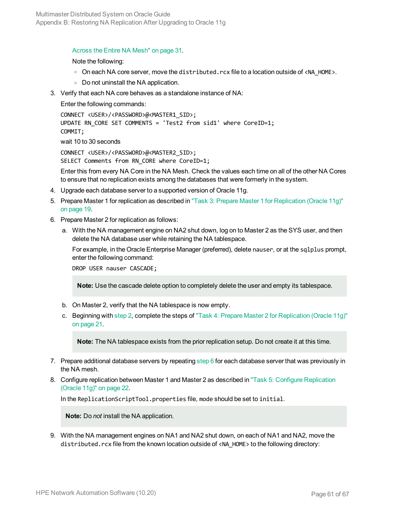#### [Across](#page-30-0) the Entire NA Mesh" on page 31.

Note the following:

- $\circ$  On each NA core server, move the distributed.rcx file to a location outside of <NA HOME>.
- <sup>o</sup> Do not uninstall the NA application.
- 3. Verify that each NA core behaves as a standalone instance of NA:

Enter the following commands:

```
CONNECT <USER>/<PASSWORD>@<MASTER1_SID>;
UPDATE RN_CORE SET COMMENTS = 'Test2 from sid1' where CoreID=1;
COMMIT;
wait 10 to 30 seconds
```
CONNECT <USER>/<PASSWORD>@<MASTER2\_SID>; SELECT Comments from RN\_CORE where CoreID=1;

Enter this from every NA Core in the NA Mesh. Check the values each time on all of the other NA Cores to ensure that no replication exists among the databases that were formerly in the system.

- 4. Upgrade each database server to a supported version of Oracle 11g.
- 5. Prepare Master 1 for replication as described in "Task 3: Prepare Master 1 for [Replication](#page-18-1) (Oracle 11g)" on [page](#page-18-1) 19.
- <span id="page-60-0"></span>6. Prepare Master 2 for replication as follows:
	- a. With the NA management engine on NA2 shut down, log on to Master 2 as the SYS user, and then delete the NA database user while retaining the NA tablespace.

For example, in the Oracle Enterprise Manager (preferred), delete nauser, or at the sqlplus prompt, enter the following command:

DROP USER nauser CASCADE;

**Note:** Use the cascade delete option to completely delete the user and empty its tablespace.

- b. On Master 2, verify that the NA tablespace is now empty.
- c. Beginning with [step](#page-17-3) 2, complete the steps of "Task 4: Prepare Master 2 for [Replication](#page-20-1) (Oracle 11g)" on [page](#page-20-1) 21.

**Note:** The NA tablespace exists from the prior replication setup. Do not create it at this time.

- 7. Prepare additional database servers by repeating step  $6$  for each database server that was previously in the NA mesh.
- 8. Configure replication between Master 1 and Master 2 as described in "Task 5: Configure [Replication](#page-21-0) [\(Oracle](#page-21-0) 11g)" on page 22.

In the ReplicationScriptTool.properties file, mode should be set to initial.

**Note:** Do *not* install the NA application.

9. With the NA management engines on NA1 and NA2 shut down, on each of NA1 and NA2, move the distributed.rcx file from the known location outside of <NA\_HOME> to the following directory: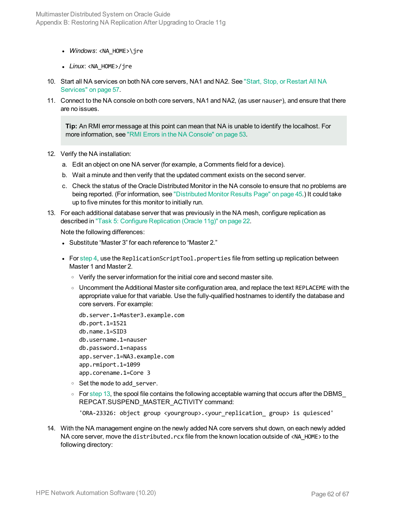- *Windows*: <NA\_HOME>\ire
- *Linux*: <NA HOME>/jre
- 10. Start all NA services on both NA core servers, NA1 and NA2. See "Start, Stop, or [Restart](#page-56-1) All NA [Services"](#page-56-1) on page 57.
- 11. Connect to the NA console on both core servers, NA1 and NA2, (as user nauser), and ensure that there are no issues.

**Tip:** An RMI error message at this point can mean that NA is unable to identify the localhost. For more information, see "RMI Errors in the NA [Console"](#page-52-1) on page 53.

- 12. Verify the NA installation:
	- a. Edit an object on one NA server (for example, a Comments field for a device).
	- b. Wait a minute and then verify that the updated comment exists on the second server.
	- c. Check the status of the Oracle Distributed Monitor in the NA console to ensure that no problems are being reported. (For information, see ["Distributed](#page-44-2) Monitor Results Page" on page 45.) It could take up to five minutes for this monitor to initially run.
- 13. For each additional database server that was previously in the NA mesh, configure replication as described in "Task 5: Configure [Replication](#page-21-0) (Oracle 11g)" on page 22.

Note the following differences:

- Substitute "Master 3" for each reference to "Master 2."
- **For [step](#page-22-2) 4, use the ReplicationScriptTool.properties file from setting up replication between** Master 1 and Master 2.
	- $\circ$  Verify the server information for the initial core and second master site.
	- Uncomment the Additional Master site configuration area, and replace the text REPLACEME with the appropriate value for that variable. Use the fully-qualified hostnames to identify the database and core servers. For example:

```
db.server.1=Master3.example.com
db.port.1=1521
db.name.1=SID3
db.username.1=nauser
db.password.1=napass
app.server.1=NA3.example.com
app.rmiport.1=1099
app.corename.1=Core 3
```
- <sup>o</sup> Set the mode to add\_server.
- $\circ$  For [step](#page-23-1) 13, the spool file contains the following acceptable warning that occurs after the DBMS REPCAT.SUSPEND\_MASTER\_ACTIVITY command:

'ORA-23326: object group <yourgroup>.<your\_replication\_ group> is quiesced'

14. With the NA management engine on the newly added NA core servers shut down, on each newly added NA core server, move the distributed.rcx file from the known location outside of <NA\_HOME> to the following directory: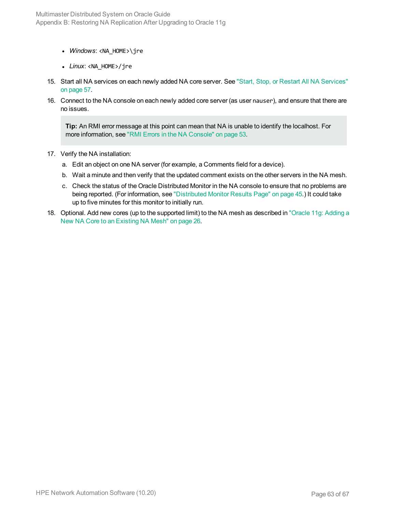- *Windows*: <NA\_HOME>\ire
- *Linux*: <NA HOME>/jre
- 15. Start all NA services on each newly added NA core server. See "Start, Stop, or Restart All NA [Services"](#page-56-1) on [page](#page-56-1) 57.
- 16. Connect to the NA console on each newly added core server (as user nauser), and ensure that there are no issues.

**Tip:** An RMI error message at this point can mean that NA is unable to identify the localhost. For more information, see "RMI Errors in the NA [Console"](#page-52-1) on page 53.

- 17. Verify the NA installation:
	- a. Edit an object on one NA server (for example, a Comments field for a device).
	- b. Wait a minute and then verify that the updated comment exists on the other servers in the NA mesh.
	- c. Check the status of the Oracle Distributed Monitor in the NA console to ensure that no problems are being reported. (For information, see ["Distributed](#page-44-2) Monitor Results Page" on page 45.) It could take up to five minutes for this monitor to initially run.
- 18. Optional. Add new cores (up to the supported limit) to the NA mesh as described in ["Oracle](#page-25-1) 11g: Adding a New NA Core to an [Existing](#page-25-1) NA Mesh" on page 26.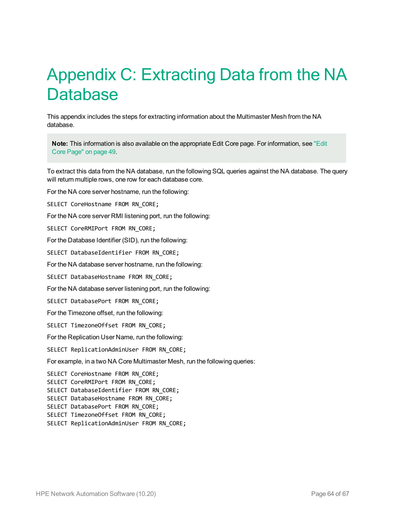# <span id="page-63-0"></span>Appendix C: Extracting Data from the NA **Database**

This appendix includes the steps for extracting information about the Multimaster Mesh from the NA database.

**Note:** This information is also available on the appropriate Edit Core page. For information, see ["Edit](#page-48-0) Core [Page"](#page-48-0) on page 49.

To extract this data from the NA database, run the following SQL queries against the NA database. The query will return multiple rows, one row for each database core.

For the NA core server hostname, run the following:

SELECT CoreHostname FROM RN\_CORE;

For the NA core server RMI listening port, run the following:

SELECT CoreRMIPort FROM RN\_CORE;

For the Database Identifier (SID), run the following:

SELECT DatabaseIdentifier FROM RN CORE;

For the NA database server hostname, run the following:

SELECT DatabaseHostname FROM RN CORE;

For the NA database server listening port, run the following:

SELECT DatabasePort FROM RN\_CORE;

For the Timezone offset, run the following:

SELECT TimezoneOffset FROM RN\_CORE;

For the Replication User Name, run the following:

SELECT ReplicationAdminUser FROM RN CORE;

For example, in a two NA Core Multimaster Mesh, run the following queries:

SELECT CoreHostname FROM RN\_CORE;

SELECT CoreRMIPort FROM RN\_CORE;

SELECT DatabaseIdentifier FROM RN CORE;

SELECT DatabaseHostname FROM RN CORE;

SELECT DatabasePort FROM RN\_CORE;

SELECT TimezoneOffset FROM RN\_CORE;

SELECT ReplicationAdminUser FROM RN CORE;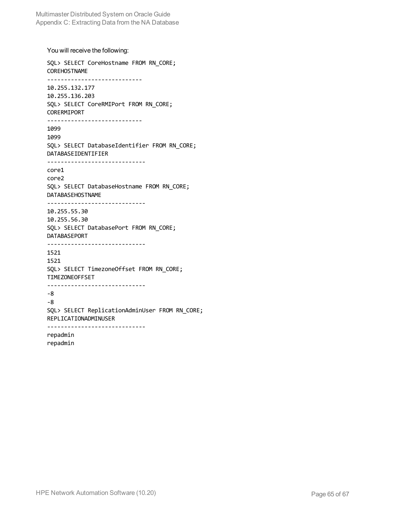Multimaster Distributed System on Oracle Guide Appendix C: Extracting Data from the NA Database

You will receive the following: SQL> SELECT CoreHostname FROM RN CORE; COREHOSTNAME ---------------------------- 10.255.132.177 10.255.136.203 SQL> SELECT CoreRMIPort FROM RN CORE; CORERMIPORT ---------------------------- 1099 1099 SQL> SELECT DatabaseIdentifier FROM RN\_CORE; DATABASEIDENTIFIER ---------------------------- core1 core2 SQL> SELECT DatabaseHostname FROM RN\_CORE; DATABASEHOSTNAME ----------------------------- 10.255.55.30 10.255.56.30 SQL> SELECT DatabasePort FROM RN CORE; DATABASEPORT ----------------------------- 1521 1521 SQL> SELECT TimezoneOffset FROM RN\_CORE; TIMEZONEOFFSET ----------------------------- -8 -8 SQL> SELECT ReplicationAdminUser FROM RN\_CORE; REPLICATIONADMINUSER ---------------------------- repadmin repadmin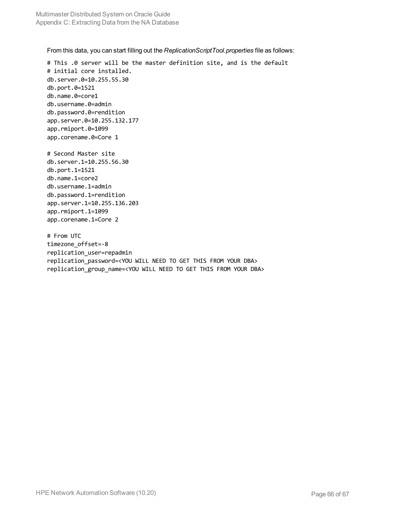From this data, you can start filling out the *ReplicationScriptTool.properties* file as follows:

# This .0 server will be the master definition site, and is the default # initial core installed. db.server.0=10.255.55.30 db.port.0=1521 db.name.0=core1 db.username.0=admin db.password.0=rendition app.server.0=10.255.132.177 app.rmiport.0=1099 app.corename.0=Core 1

# Second Master site db.server.1=10.255.56.30 db.port.1=1521 db.name.1=core2 db.username.1=admin db.password.1=rendition app.server.1=10.255.136.203 app.rmiport.1=1099 app.corename.1=Core 2

# From UTC timezone\_offset=-8 replication\_user=repadmin replication\_password=<YOU WILL NEED TO GET THIS FROM YOUR DBA> replication group name=<YOU WILL NEED TO GET THIS FROM YOUR DBA>